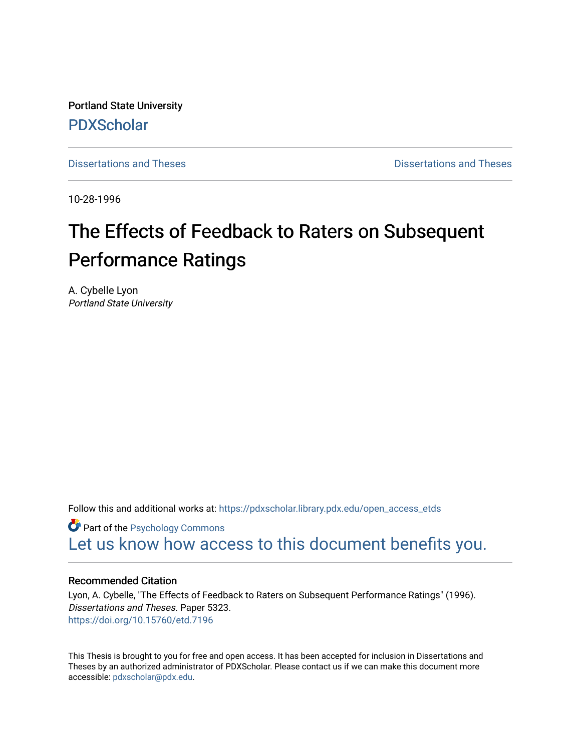Portland State University [PDXScholar](https://pdxscholar.library.pdx.edu/)

[Dissertations and Theses](https://pdxscholar.library.pdx.edu/open_access_etds) **Dissertations** and Theses **Dissertations and Theses** 

10-28-1996

# The Effects of Feedback to Raters on Subsequent Performance Ratings

A. Cybelle Lyon Portland State University

Follow this and additional works at: [https://pdxscholar.library.pdx.edu/open\\_access\\_etds](https://pdxscholar.library.pdx.edu/open_access_etds?utm_source=pdxscholar.library.pdx.edu%2Fopen_access_etds%2F5323&utm_medium=PDF&utm_campaign=PDFCoverPages)

**Part of the Psychology Commons** [Let us know how access to this document benefits you.](http://library.pdx.edu/services/pdxscholar-services/pdxscholar-feedback/) 

### Recommended Citation

Lyon, A. Cybelle, "The Effects of Feedback to Raters on Subsequent Performance Ratings" (1996). Dissertations and Theses. Paper 5323. <https://doi.org/10.15760/etd.7196>

This Thesis is brought to you for free and open access. It has been accepted for inclusion in Dissertations and Theses by an authorized administrator of PDXScholar. Please contact us if we can make this document more accessible: [pdxscholar@pdx.edu.](mailto:pdxscholar@pdx.edu)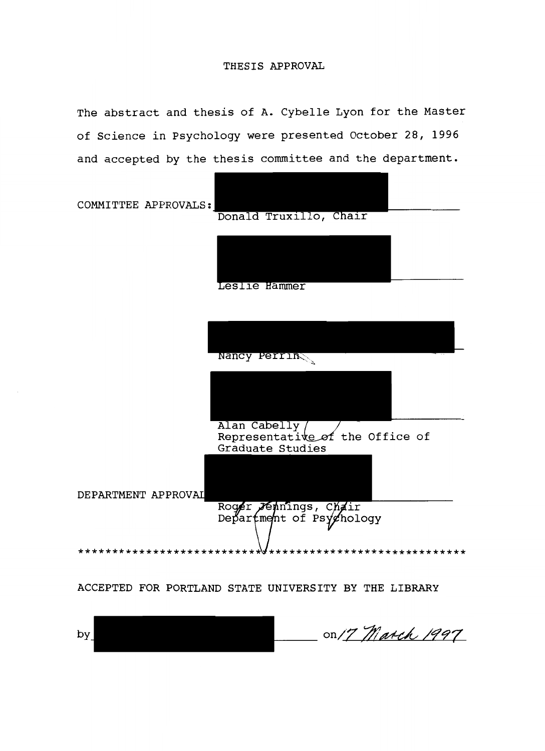#### THESIS APPROVAL

The abstract and thesis of A. Cybelle Lyon for the Master of Science in Psychology were presented October 28, 1996 and accepted by the thesis committee and the department.

COMMITTEE APPROVALS:



Leslie Hammer

Nancy Perrins Alan Cabelly Representative of the Office of Graduate Studies DEPARTMENT APPROV Roger Jennings, Chair Department of Psychology \*\*\*\*\*\*\*\*\*\*\*\*\*\* \*\*\*\*\*\*\*\*\*\*\*\*\*\*\*\*\*

ACCEPTED FOR PORTLAND STATE UNIVERSITY BY THE LIBRARY

on/7 March 1997 by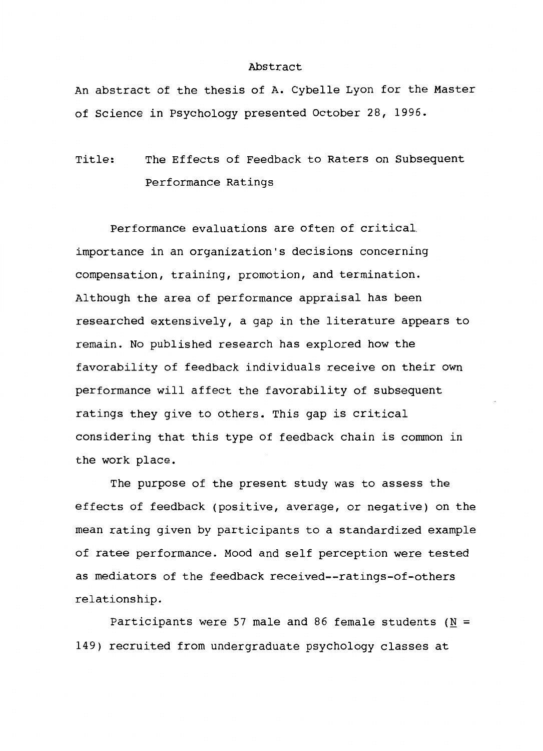#### Abstract

An abstract of the thesis of A. Cybelle Lyon for the Master of Science in Psychology presented October 28, 1996.

Title: The Effects of Feedback to Raters on Subsequent Performance Ratings

Performance evaluations are often of critical. importance in an organization's decisions concerning compensation, training, promotion, and termination. Although the area of performance appraisal has been researched extensively, a gap in the literature appears to remain. No published research has explored how the favorability of feedback individuals receive on their own performance will affect the favorability of subsequent ratings they give to others. This gap is critical considering that this type of feedback chain is common in the work place.

The purpose of the present study was to assess the effects of feedback (positive, average, or negative) on the mean rating given by participants to a standardized example of ratee performance. Mood and self perception were tested as mediators of the feedback received--ratings-of-others relationship.

Participants were 57 male and 86 female students ( $N =$ 149) recruited from undergraduate psychology classes at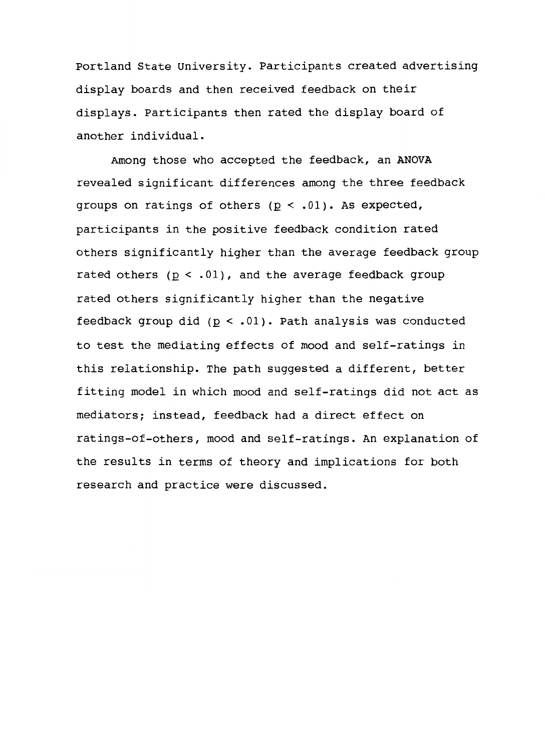Portland State University. Participants created advertising display boards and then received feedback on their displays. Participants then rated the display board of another individual.

Among those who accepted the feedback, an ANOVA revealed significant differences among the three feedback groups on ratings of others  $(p < .01)$ . As expected, participants in the positive feedback condition rated others significantly higher than the average feedback group rated others  $(p < .01)$ , and the average feedback group rated others significantly higher than the negative feedback group did  $(p < .01)$ . Path analysis was conducted to test the mediating effects of mood and self-ratings in this relationship. The path suggested a different, better fitting model in which mood and self-ratings did not act as mediators; instead, feedback had a direct effect on ratings-of-others, mood and self-ratings. An explanation of the results in terms of theory and implications for both research and practice were discussed.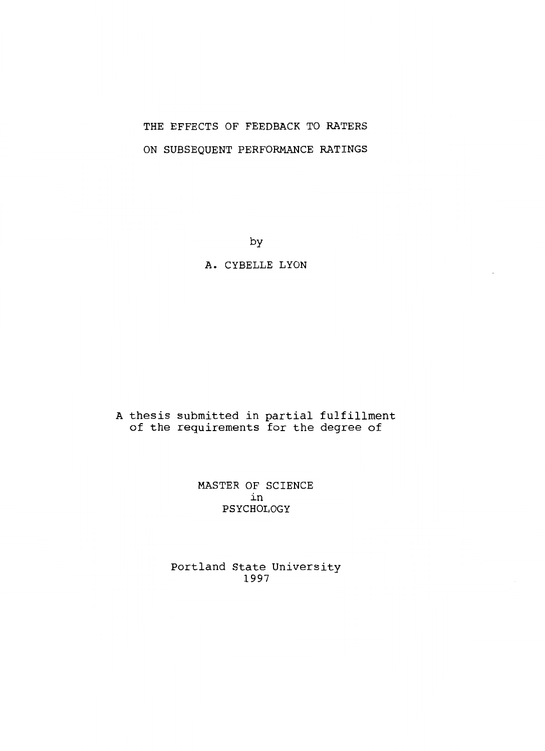## THE EFFECTS OF FEEDBACK TO RATERS ON SUBSEQUENT PERFORMANCE RATINGS

by

A. CYBELLE LYON

A thesis submitted in partial fulfillment of the requirements for the degree of

> MASTER OF SCIENCE in PSYCHOLOGY

Portland State University 1997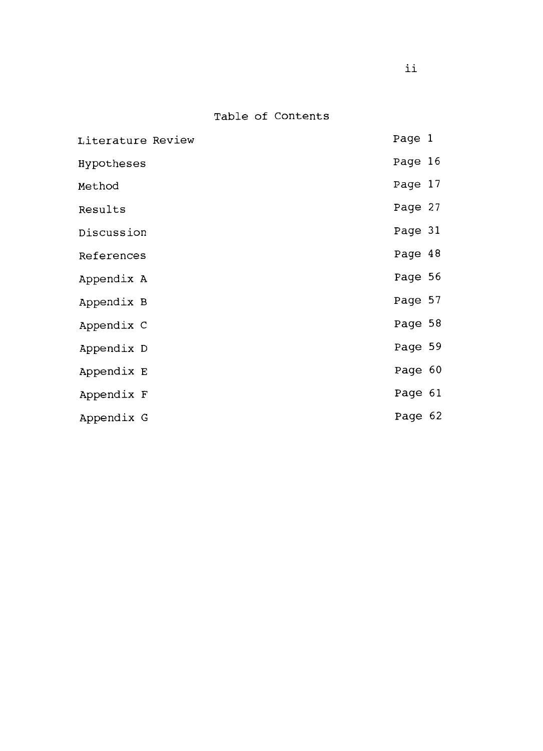Table of Contents

| Page 1  |  |
|---------|--|
| Page 16 |  |
| Page 17 |  |
| Page 27 |  |
| Page 31 |  |
| Page 48 |  |
| Page 56 |  |
| Page 57 |  |
| Page 58 |  |
| Page 59 |  |
| Page 60 |  |
| Page 61 |  |
| Page 62 |  |
|         |  |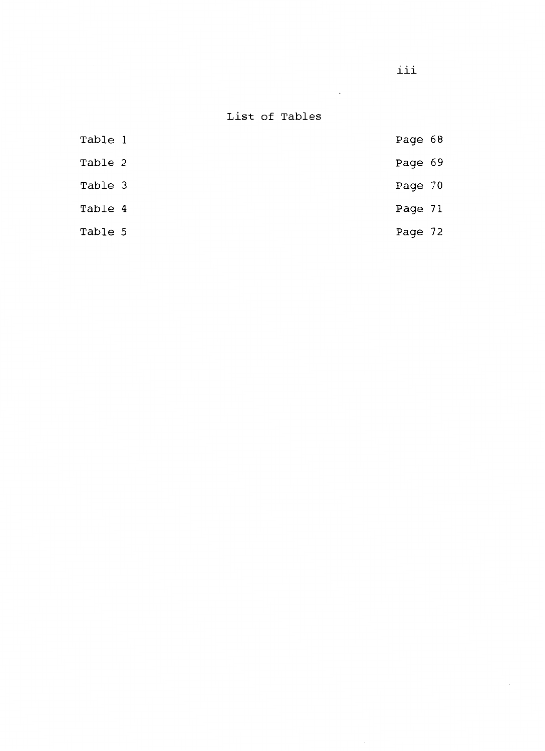iii

 $\sim 10^{-11}$ 

List of Tables

| Table 1 | Page 68 |  |
|---------|---------|--|
| Table 2 | Page 69 |  |
| Table 3 | Page 70 |  |
| Table 4 | Page 71 |  |
| Table 5 | Page 72 |  |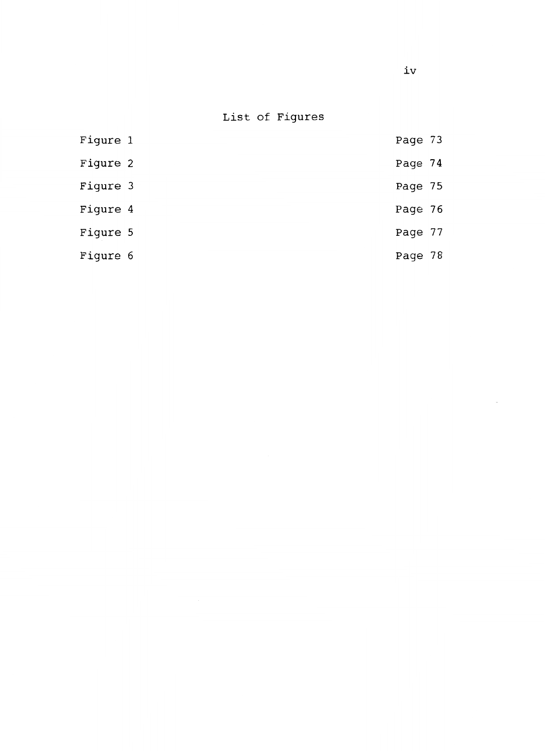List of Figures

| Figure 1 | Page 73 |  |
|----------|---------|--|
| Figure 2 | Page 74 |  |
| Figure 3 | Page 75 |  |
| Figure 4 | Page 76 |  |
| Figure 5 | Page 77 |  |
| Figure 6 | Page 78 |  |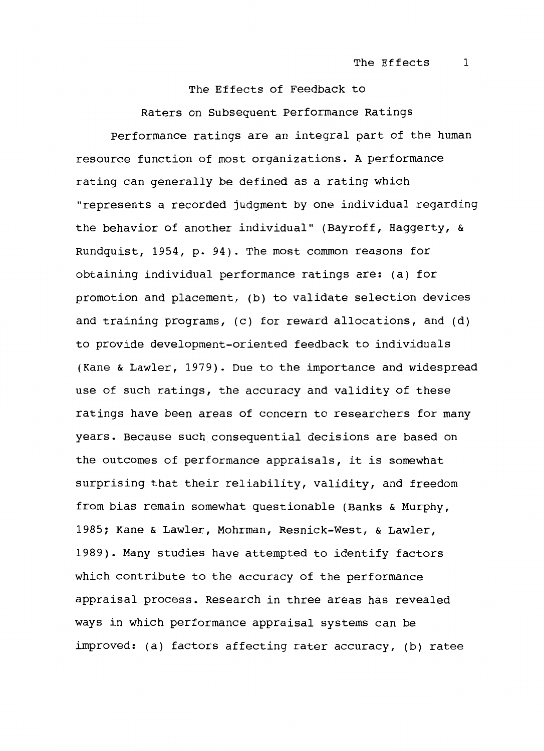The Effects of Feedback to Raters on Subsequent Performance Ratings Performance ratings are an integral part of the human resource function of most organizations. A performance rating can generally be defined as a rating which "represents a recorded judgment by one individual regarding the behavior of another individual" (Bayroff, Haggerty, & Rundquist, 1954, p. 94). The most common reasons for obtaining individual performance ratings are: (a) for promotion and placement, (b) to validate selection devices and training programs, (c) for reward allocations, and (d) to provide development-oriented feedback to individuals (Kane & Lawler, 1979). Due to the importance and widespread use of such ratings, the accuracy and validity of these ratings have been areas of concern to researchers for many years. Because such consequential decisions are based on the outcomes of performance appraisals, it is somewhat surprising that their reliability, validity, and freedom from bias remain somewhat questionable (Banks & Murphy, 1985; Kane & Lawler, Mohrman, Resnick-West, & Lawler, 1989). Many studies have attempted to identify factors which contribute to the accuracy of the performance appraisal process. Research in three areas has revealed ways in which performance appraisal systems can be improved: (a) factors affecting rater accuracy, (b) ratee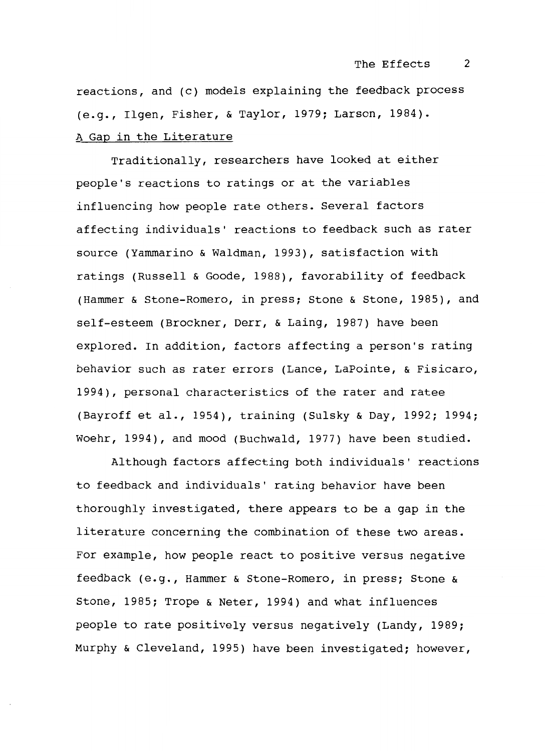reactions, and (c) models explaining the feedback process (e.g., Ilgen, Fisher, & Taylor, 1979; Larson, 1984). A Gap in the Literature

Traditionally, researchers have looked at either people's reactions to ratings or at the variables influencing how people rate others. Several factors affecting individuals' reactions to feedback such as rater source (Yammarino & Waldman, 1993), satisfaction with ratings (Russell & Goode, 1988), favorability of feedback (Hammer & Stone-Romero, in press; Stone & Stone, 1985), and self-esteem (Brockner, Derr, & Laing, 1987) have been explored. In addition, factors affecting a person's rating behavior such as rater errors (Lance, LaPointe, & Fisicaro, 1994), personal characteristics of the rater and ratee (Bayroff et al., 1954), training (Sulsky & Day, 1992; 1994; Woehr, 1994), and mood (Buchwald, 1977) have been studied.

Although factors affecting both individuals' reactions to feedback and individuals' rating behavior have been thoroughly investigated, there appears to be a gap in the literature concerning the combination of these two areas. For example, how people react to positive versus negative feedback (e.g., Hammer & Stone-Romero, in press; Stone & Stone, 1985; Trope & Neter, 1994) and what influences people to rate positively versus negatively (Landy, 1989; Murphy & Cleveland, 1995) have been investigated; however,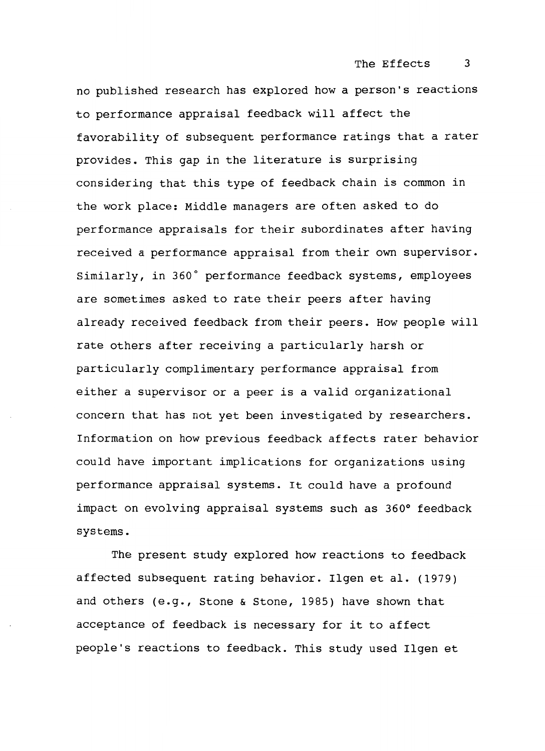no published research has explored how a person's reactions to performance appraisal feedback will affect the favorability of subsequent performance ratings that a rater provides. This gap in the literature is surprising considering that this type of feedback chain is common in the work place: Middle managers are often asked to do performance appraisals for their subordinates after having received a performance appraisal from their own supervisor. Similarly, in 360° performance feedback systems, employees are sometimes asked to rate their peers after having already received feedback from their peers. How people will rate others after receiving a particularly harsh or particularly complimentary performance appraisal from either a supervisor or a peer is a valid organizational concern that has not yet been investigated by researchers. Information on how previous feedback affects rater behavior could have important implications for organizations using performance appraisal systems. It could have a profound impact on evolving appraisal systems such as 360° feedback systems.

The present study explored how reactions to feedback affected subsequent rating behavior. Ilgen et al. (1979) and others (e.g., Stone & Stone, 1985) have shown that acceptance of feedback is necessary for it to affect people's reactions to feedback. This study used Ilgen et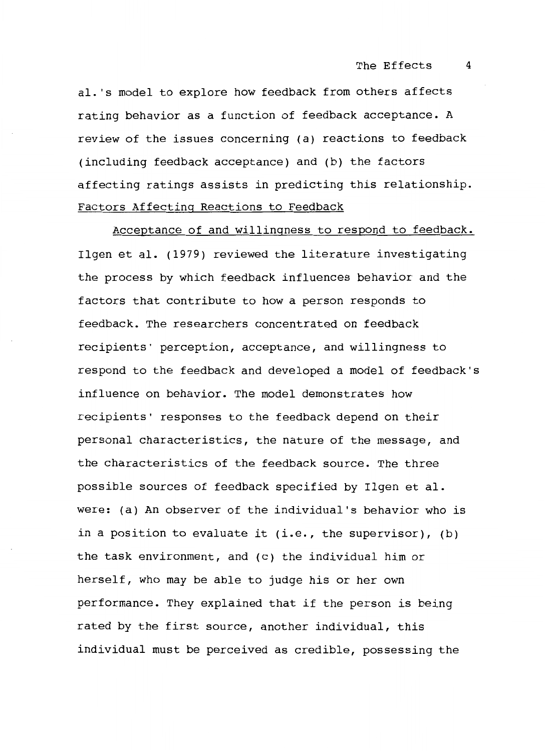al. 's model to explore how feedback from others affects rating behavior as a function of feedback acceptance. A review of the issues concerning (a) reactions to feedback (including feedback acceptance) and (b) the factors affecting ratings assists in predicting this relationship. Factors Affecting Reactions to Feedback

Acceptance of and willingness to respond to feedback. Ilgen et al. (1979) reviewed the literature investigating the process by which feedback influences behavior and the factors that contribute to how a person responds to feedback. The researchers concentrated on feedback recipients' perception, acceptance, and willingness to respond to the feedback and developed a model of feedback's influence on behavior. The model demonstrates how recipients' responses to the feedback depend on their personal characteristics, the nature of the message, and the characteristics of the feedback source. The three possible sources of feedback specified by Ilgen et al. were: (a) An observer of the individual's behavior who is in a position to evaluate it (i.e., the supervisor), (b) the task environment, and (c) the individual him or herself, who may be able to judge his or her own performance. They explained that if the person is being rated by the first source, another individual, this individual must be perceived as credible, possessing the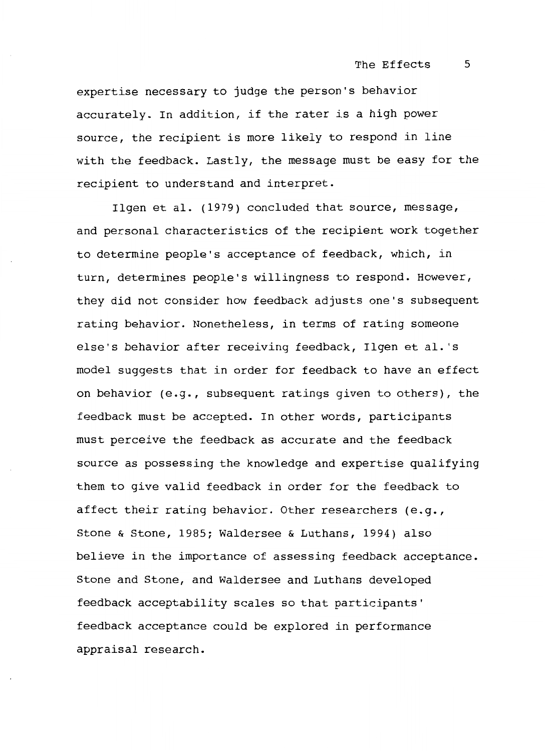expertise necessary to judge the person's behavior accurately. In addition, if the rater is a high power source, the recipient is more likely to respond in line with the feedback. Lastly, the message must be easy for the recipient to understand and interpret.

Ilgen et al. (1979) concluded that source, message, and personal characteristics of the recipient work together to determine people's acceptance of feedback, which, in turn, determines people's willingness to respond. However, they did not consider how feedback adjusts one's subsequent rating behavior. Nonetheless, in terms of rating someone else's behavior after receiving feedback, Ilgen et al. 's model suggests that in order for feedback to have an effect on behavior (e.g., subsequent ratings given to others), the feedback must be accepted. In other words, participants must perceive the feedback as accurate and the feedback source as possessing the knowledge and expertise qualifying them to give valid feedback in order for the feedback to affect their rating behavior. Other researchers (e.g., Stone & Stone, 1985; Waldersee & Luthans, 1994) also believe in the importance of assessing feedback acceptance. Stone and Stone, and Waldersee and Luthans developed feedback acceptability scales so that participants' feedback acceptance could be explored in performance appraisal research.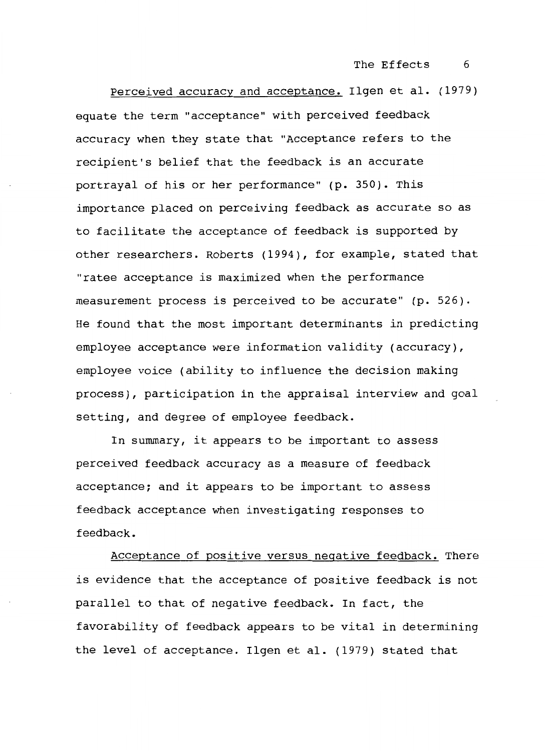Perceived accuracy and acceptance. Ilgen et al. (1979) equate the term "acceptance" with perceived feedback accuracy when they state that "Acceptance refers to the recipient's belief that the feedback is an accurate portrayal of his or her performance" (p. 350). This importance placed on perceiving feedback as accurate so as to facilitate the acceptance of feedback is supported by other researchers. Roberts (1994), for example, stated that "ratee acceptance is maximized when the performance measurement process is perceived to be accurate" (p. 526). He found that the most important determinants in predicting employee acceptance were information validity (accuracy), employee voice (ability to influence the decision making process), participation in the appraisal interview and goal setting, and degree of employee feedback.

In summary, it appears to be important to assess perceived feedback accuracy as a measure of feedback acceptance; and it appears to be important to assess feedback acceptance when investigating responses to feedback.

Acceptance of positive versus negative feedback. There is evidence that the acceptance of positive feedback is not parallel to that of negative feedback. In fact, the f avorability of feedback appears to be vital in determining the level of acceptance. Ilgen et al. (1979) stated that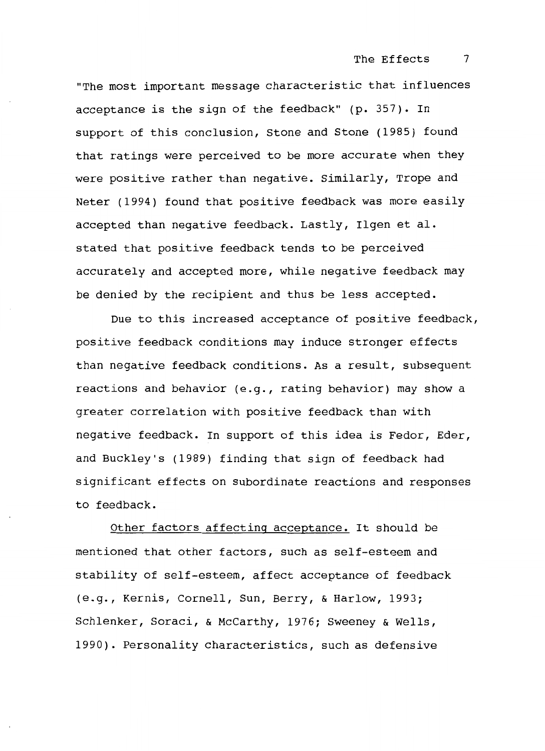"The most important message characteristic that influences acceptance is the sign of the feedback" (p. 357). In support of this conclusion, Stone and Stone (1985) found that ratings were perceived to be more accurate when they were positive rather than negative. Similarly, Trope and Neter (1994) found that positive feedback was more easily accepted than negative feedback. Lastly, Ilgen et al. stated that positive feedback tends to be perceived accurately and accepted more, while negative feedback may be denied by the recipient and thus be less accepted.

Due to this increased acceptance of positive feedback, positive feedback conditions may induce stronger effects than negative feedback conditions. As a result, subsequent reactions and behavior (e.g., rating behavior) may show a greater correlation with positive feedback than with negative feedback. In support of this idea is Fedor, Eder, and Buckley's (1989) finding that sign of feedback had significant effects on subordinate reactions and responses to feedback.

Other factors affecting acceptance. It should be mentioned that other factors, such as self-esteem and stability of self-esteem, affect acceptance of feedback (e.g., Kernis, Cornell, Sun, Berry, & Harlow, 1993; Schlenker, Soraci, & McCarthy, 1976; Sweeney & Wells, 1990). Personality characteristics, such as defensive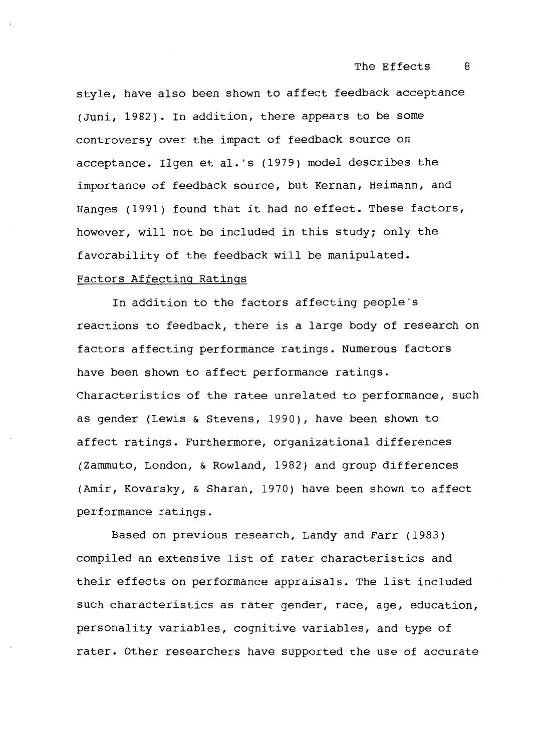style, have also been shown to affect feedback acceptance (Juni, 1982). In addition, there appears to be some controversy over the impact of feedback source on acceptance. Ilgen et al. 's (1979) model describes the importance of feedback source, but Kernan, Heimann, and Hanges (1991) found that it had no effect. These factors, however, will not be included in this study; only the favorability of the feedback will be manipulated.

#### Factors Affecting Ratings

In addition to the factors affecting people's reactions to feedback, there is a large body of research on factors affecting performance ratings. Numerous factors have been shown to affect performance ratings. Characteristics of the ratee unrelated to performance, such as gender (Lewis & Stevens, 1990), have been shown to affect ratings. Furthermore, organizational differences (Zammuto, London, & Rowland, 1982) and group differences (Amir, Kovarsky, & Sharan, 1970) have been shown to affect performance ratings.

Based on previous research, Landy and Farr (1983) compiled an extensive list of rater characteristics and their effects on performance appraisals. The list included such characteristics as rater gender, race, age, education, personality variables, cognitive variables, and type of rater. Other researchers have supported the use of accurate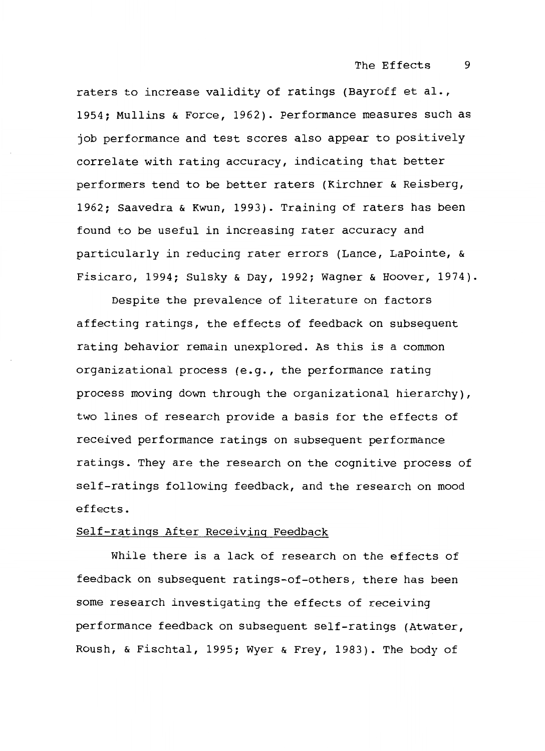raters to increase validity of ratings (Bayroff et al., 1954; Mullins & Force, 1962). Performance measures such as job performance and test scores also appear to positively correlate with rating accuracy, indicating that better performers tend to be better raters (Kirchner & Reisberg, 1962; Saavedra & Kwun, 1993). Training of raters has been found to be useful in increasing rater accuracy and particularly in reducing rater errors (Lance, LaPointe, & Fisicaro, 1994; Sulsky & Day, 1992; Wagner & Hoover, 1974).

Despite the prevalence of literature on factors affecting ratings, the effects of feedback on subsequent rating behavior remain unexplored. As this is a common organizational process (e.g., the performance rating process moving down through the organizational hierarchy), two lines of research provide a basis for the effects of received performance ratings on subsequent performance ratings. They are the research on the cognitive process of self-ratings following feedback, and the research on mood effects.

#### Self-ratings After Receiving Feedback

While there is a lack of research on the effects of feedback on subsequent ratings-of-others, there has been some research investigating the effects of receiving performance feedback on subsequent self-ratings (Atwater, Roush, & Fischtal, 1995; Wyer & Frey, 1983). The body of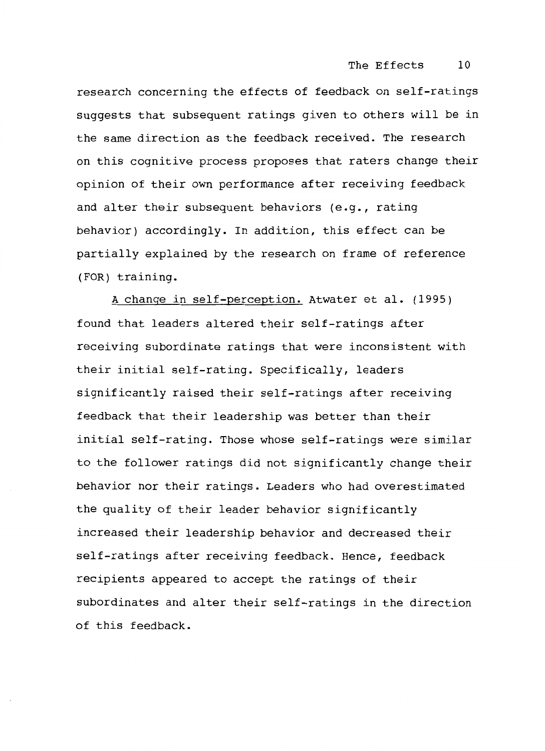research concerning the effects of feedback on self-ratings suggests that subsequent ratings given to others will be in the same direction as the feedback received. The research on this cognitive process proposes that raters change their opinion of their own performance after receiving feedback and alter their subsequent behaviors (e.g., rating behavior) accordingly. In addition, this effect can be partially explained by the research on frame of reference (FOR) training.

A change in self-perception. Atwater et al. (1995) found that leaders altered their self-ratings after receiving subordinate ratings that were inconsistent with their initial self-rating. Specifically, leaders significantly raised their self-ratings after receiving feedback that their leadership was better than their initial self-rating. Those whose self-ratings were similar to the follower ratings did not significantly change their behavior nor their ratings. Leaders who had overestimated the quality of their leader behavior significantly increased their leadership behavior and decreased their self-ratings after receiving feedback. Hence, feedback recipients appeared to accept the ratings of their subordinates and alter their self-ratings in the direction of this feedback.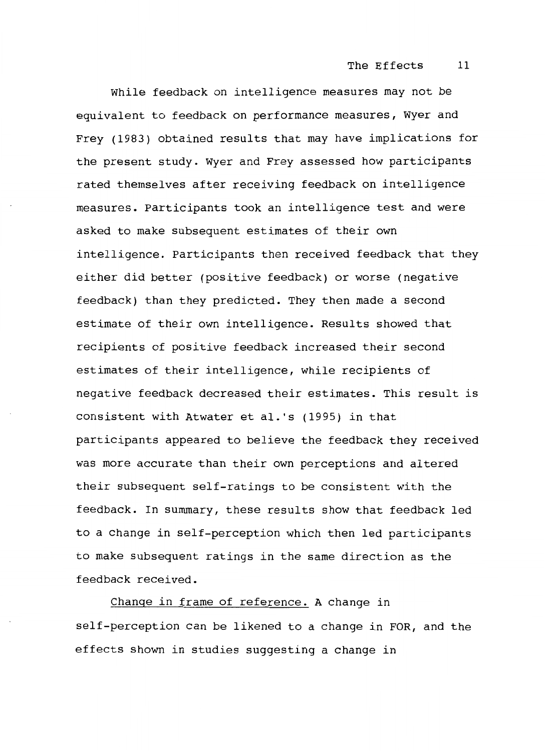#### The Effects 11

While feedback on intelligence measures may not be equivalent to feedback on performance measures, Wyer and Frey (1983) obtained results that may have implications for the present study. Wyer and Frey assessed how participants rated themselves after receiving feedback on intelligence measures. Participants took an intelligence test and were asked to make subsequent estimates of their own intelligence. Participants then received feedback that they either did better (positive feedback) or worse (negative feedback) than they predicted. They then made a second estimate of their own intelligence. Results showed that recipients of positive feedback increased their second estimates of their intelligence, while recipients of negative feedback decreased their estimates. This result is consistent with Atwater et al. 's (1995) in that participants appeared to believe the feedback they received was more accurate than their own perceptions and altered their subsequent self-ratings to be consistent with the feedback. In summary, these results show that feedback led to a change in self-perception which then led participants to make subsequent ratings in the same direction as the feedback received.

Change in frame of reference. A change in self-perception can be likened to a change in FOR, and the effects shown in studies suggesting a change in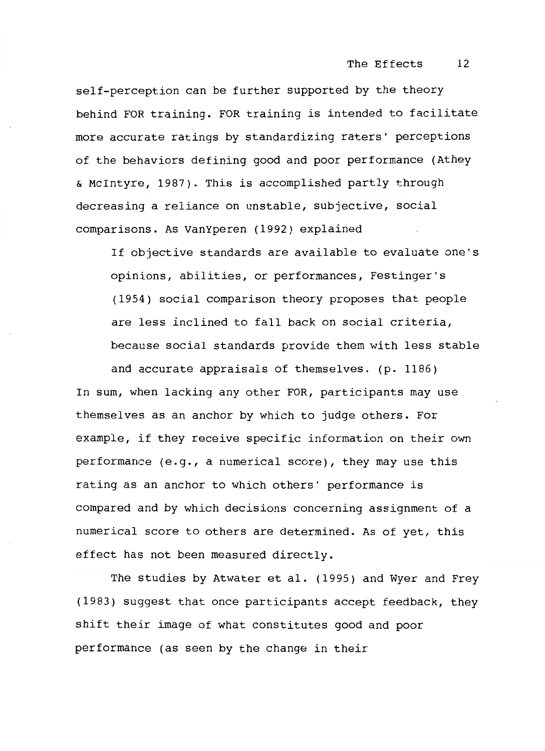#### The Effects 12

self-perception can be further supported by the theory behind FOR training. FOR training is intended to facilitate more accurate ratings by standardizing raters' perceptions of the behaviors defining good and poor performance (Athey & Mcintyre, 1987). This is accomplished partly through decreasing a reliance on unstable, subjective, social comparisons. As VanYperen (1992) explained

If objective standards are available to evaluate one's opinions, abilities, or performances, Festinger's (1954) social comparison theory proposes that people are less inclined to fall back on social criteria, because social standards provide them with less stable and accurate appraisals of themselves. (p. 1186)

In sum, when lacking any other FOR, participants may use themselves as an anchor by which to judge others. For example, if they receive specific information on their own performance (e.g., a numerical score), they may use this rating as an anchor to which others' performance is compared and by which decisions concerning assignment of a numerical score to others are determined. As of yet, this effect has not been measured directly.

The studies by Atwater et al. (1995) and Wyer and Frey (1983) suggest that once participants accept feedback, they shift their image of what constitutes good and poor performance (as seen by the change in their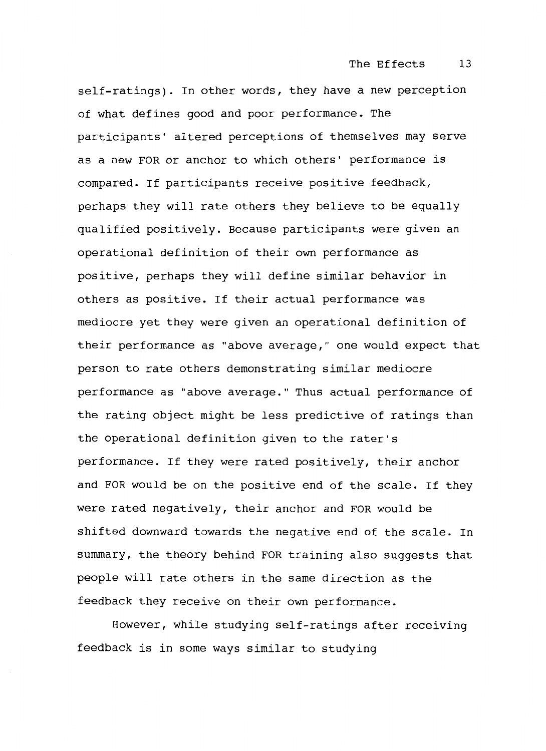self-ratings). In other words, they have a new perception of what defines good and poor performance. The participants' altered perceptions of themselves may serve as a new FOR or anchor to which others' performance is compared. If participants receive positive feedback, perhaps they will rate others they believe to be equally qualified positively. Because participants were given an operational definition of their own performance as positive, perhaps they will define similar behavior in others as positive. If their actual performance was mediocre yet they were given an operational definition of their performance as "above average," one would expect that person to rate others demonstrating similar mediocre performance as "above average." Thus actual performance of the rating object might be less predictive of ratings than the operational definition given to the rater's performance. If they were rated positively, their anchor and FOR would be on the positive end of the scale. If they were rated negatively, their anchor and FOR would be shifted downward towards the negative end of the scale. In summary, the theory behind FOR training also suggests that people will rate others in the same direction as the feedback they receive on their own performance.

However, while studying self-ratings after receiving feedback is in some ways similar to studying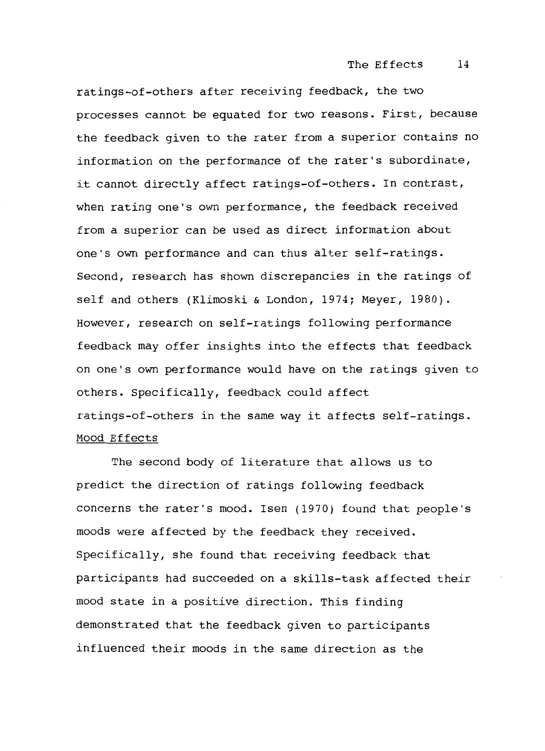ratings-of-others after receiving feedback, the two processes cannot be equated for two reasons. First, because the feedback given to the rater from a superior contains no information on the performance of the rater's subordinate, it cannot directly affect ratings-of-others. In contrast, when rating one's own performance, the feedback received from a superior can be used as direct information about one's own performance and can thus alter self-ratings. Second, research has shown discrepancies in the ratings of self and others (Klimoski & London, 1974; Meyer, 1980). However, research on self-ratings following performance feedback may offer insights into the effects that feedback on one's own performance would have on the ratings given to others. Specifically, feedback could affect ratings-of-others in the same way it affects self-ratings. Mood Effects

The second body of literature that allows us to predict the direction of ratings following feedback concerns the rater's mood. Isen (1970) found that people's moods were affected by the feedback they received. Specifically, she found that receiving feedback that participants had succeeded on a skills-task affected their mood state in a positive direction. This finding demonstrated that the feedback given to participants influenced their moods in the same direction as the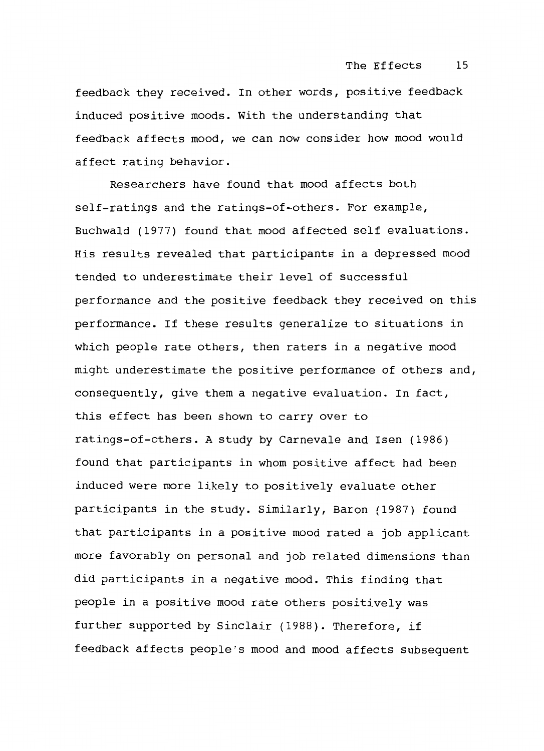feedback they received. In other words, positive feedback induced positive moods. With the understanding that feedback affects mood, we can now consider how mood would affect rating behavior.

Researchers have found that mood affects both self-ratings and the ratings-of-others. For example, Buchwald (1977) found that mood affected self evaluations. His results revealed that participants in a depressed mood tended to underestimate their level of successful performance and the positive feedback they received on this performance. If these results generalize to situations in which people rate others, then raters in a negative mood might underestimate the positive performance of others and, consequently, give them a negative evaluation. In fact, this effect has been shown to carry over to ratings-of-others. A study by Carnevale and Isen (1986) found that participants in whom positive affect had been induced were more likely to positively evaluate other participants in the study. Similarly, Baron (1987) found that participants in a positive mood rated a job applicant more favorably on personal and job related dimensions than did participants in a negative mood. This finding that people in a positive mood rate others positively was further supported by Sinclair (1988). Therefore, if feedback affects people's mood and mood affects subsequent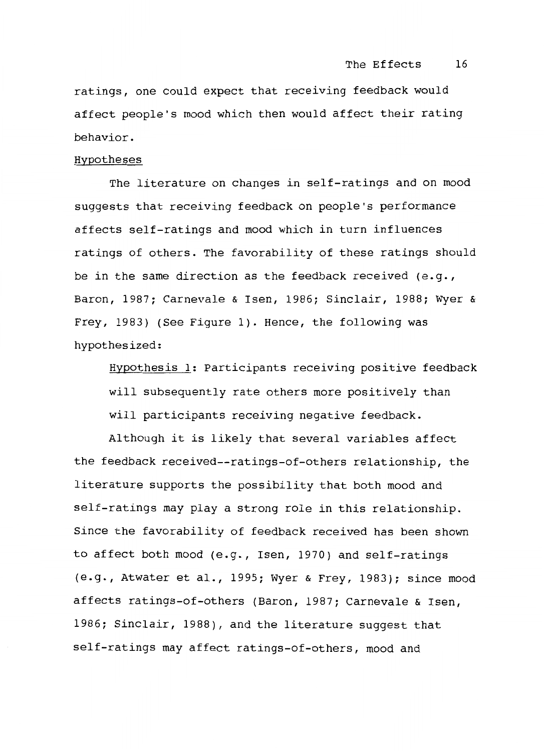ratings, one could expect that receiving feedback would affect people's mood which then would affect their rating behavior.

#### Hypotheses

The literature on changes in self-ratings and on mood suggests that receiving feedback on people's performance affects self-ratings and mood which in turn influences ratings of others. The favorability of these ratings should be in the same direction as the feedback received (e.g., Baron, 1987; Carnevale & Isen, 1986; Sinclair, 1988; Wyer & Frey, 1983) (See Figure 1). Hence, the following was hypothesized:

Hypothesis 1: Participants receiving positive feedback will subsequently rate others more positively than will participants receiving negative feedback.

Although it is likely that several variables affect the feedback received--ratings-of-others relationship, the literature supports the possibility that both mood and self-ratings may play a strong role in this relationship. Since the favorability of feedback received has been shown to affect both mood (e.g., Isen, 1970) and self-ratings (e.g., Atwater et al., 1995; Wyer & Frey, 1983); since mood affects ratings-of-others (Baron, 1987; Carnevale & Isen, 1986; Sinclair, 1988), and the literature suggest that self-ratings may affect ratings-of-others, mood and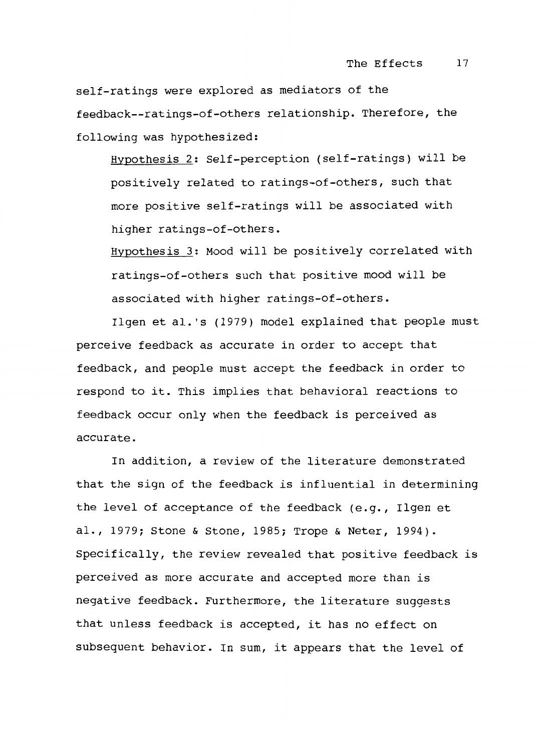self-ratings were explored as mediators of the feedback--ratings-of-others relationship. Therefore, the following was hypothesized:

Hypothesis 2: Self-perception (self-ratings) will be positively related to ratings-of-others, such that more positive self-ratings will be associated with higher ratings-of-others.

Hypothesis 3: Mood will be positively correlated with ratings-of-others such that positive mood will be associated with higher ratings-of-others.

Ilgen et al. 's (1979) model explained that people must perceive feedback as accurate in order to accept that feedback, and people must accept the feedback in order to respond to it. This implies that behavioral reactions to feedback occur only when the feedback is perceived as accurate.

In addition, a review of the literature demonstrated that the sign of the feedback is influential in determining the level of acceptance of the feedback (e.g., Ilgen et al., 1979; Stone & Stone, 1985; Trope & Neter, 1994). Specifically, the review revealed that positive feedback is perceived as more accurate and accepted more than is negative feedback. Furthermore, the literature suggests that unless feedback is accepted, it has no effect on subsequent behavior. In sum, it appears that the level of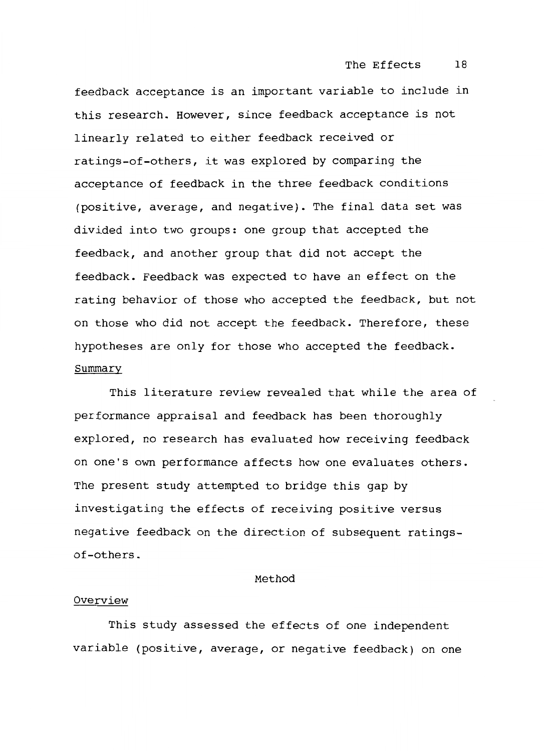feedback acceptance is an important variable to include in this research. However, since feedback acceptance is not linearly related to either feedback received or ratings-of-others, it was explored by comparing the acceptance of feedback in the three feedback conditions (positive, average, and negative). The final data set was divided into two groups: one group that accepted the feedback, and another group that did not accept the feedback. Feedback was expected to have an effect on the rating behavior of those who accepted the feedback, but not on those who did not accept the feedback. Therefore, these hypotheses are only for those who accepted the feedback. Summary

This literature review revealed that while the area of performance appraisal and feedback has been thoroughly explored, no research has evaluated how receiving feedback on one's own performance affects how one evaluates others. The present study attempted to bridge this gap by investigating the effects of receiving positive versus negative feedback on the direction of subsequent ratingsof-others.

#### Method

#### Overview

This study assessed the effects of one independent variable (positive, average, or negative feedback) on one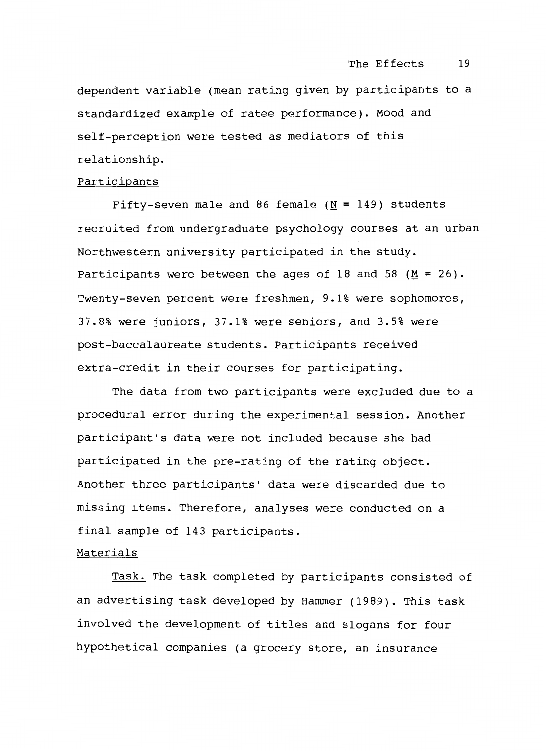dependent variable (mean rating given by participants to a standardized example of ratee performance). Mood and self-perception were tested as mediators of this relationship.

#### Participants

Fifty-seven male and 86 female  $(N = 149)$  students recruited from undergraduate psychology courses at an urban Northwestern university participated in the study. Participants were between the ages of 18 and 58 ( $M = 26$ ). Twenty-seven percent were freshmen, 9.1% were sophomores, 37.8% were juniors, 37.1% were seniors, and 3.5% were post-baccalaureate students. Participants received extra-credit in their courses for participating.

The data from two participants were excluded due to a procedural error during the experimental session. Another participant's data were not included because she had participated in the pre-rating of the rating object. Another three participants' data were discarded due to missing items. Therefore, analyses were conducted on a final sample of 143 participants.

#### Materials

Task. The task completed by participants consisted of an advertising task developed by Hammer (1989). This task involved the development of titles and slogans for four hypothetical companies (a grocery store, an insurance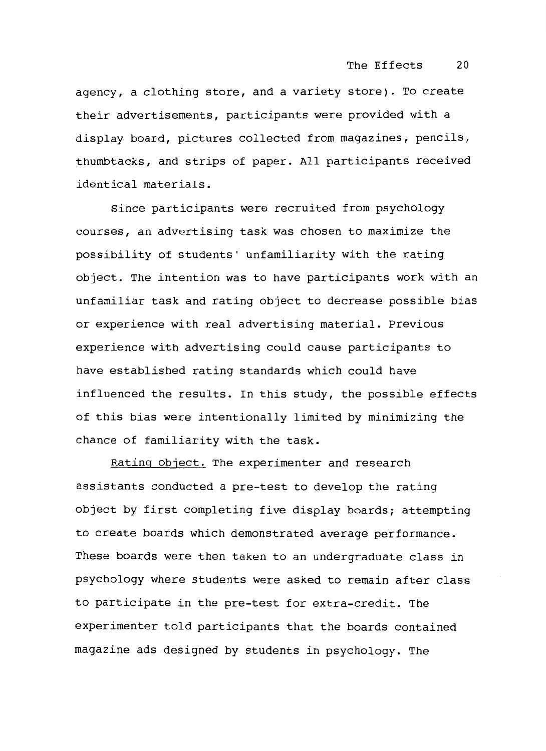agency, a clothing store, and a variety store). To create their advertisements, participants were provided with a display board, pictures collected from magazines, pencils, thumbtacks, and strips of paper. All participants received identical materials.

Since participants were recruited from psychology courses, an advertising task was chosen to maximize the possibility of students' unfamiliarity with the rating object. The intention was to have participants work with an unfamiliar task and rating object to decrease possible bias or experience with real advertising material. Previous experience with advertising could cause participants to have established rating standards which could have influenced the results. In this study, the possible effects of this bias were intentionally limited by minimizing the chance of familiarity with the task.

Rating object. The experimenter and research assistants conducted a pre-test to develop the rating object by first completing five display boards; attempting to create boards which demonstrated average performance. These boards were then taken to an undergraduate class in psychology where students were asked to remain after class to participate in the pre-test for extra-credit. The experimenter told participants that the boards contained magazine ads designed by students in psychology. The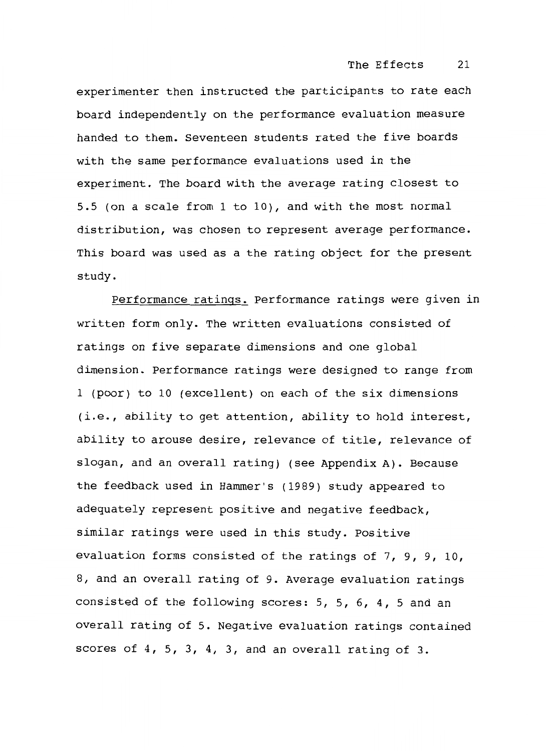experimenter then instructed the participants to rate each board independently on the performance evaluation measure handed to them. Seventeen students rated the five boards with the same performance evaluations used in the experiment. The board with the average rating closest to 5.5 (on a scale from 1 to 10), and with the most normal distribution, was chosen to represent average performance. This board was used as a the rating object for the present study.

Performance ratings. Performance ratings were given in written form only. The written evaluations consisted of ratings on five separate dimensions and one global dimension. Performance ratings were designed to range from 1 (poor) to 10 (excellent) on each of the six dimensions (i.e., ability to get attention, ability to hold interest, ability to arouse desire, relevance of title, relevance of slogan, and an overall rating) (see Appendix A). Because the feedback used in Hammer's (1989) study appeared to adequately represent positive and negative feedback, similar ratings were used in this study. Positive evaluation forms consisted of the ratings of 7, 9, 9, 10, 8, and an overall rating of 9. Average evaluation ratings consisted of the following scores: 5, 5, 6, 4, 5 and an overall rating of 5. Negative evaluation ratings contained scores of 4, 5, 3, 4, 3, and an overall rating of 3.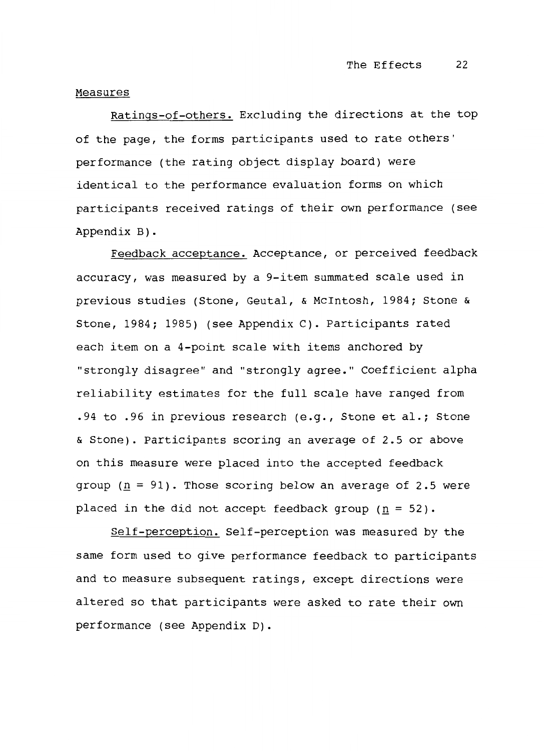#### Measures

Ratings-of-others. Excluding the directions at the top of the page, the forms participants used to rate others' performance (the rating object display board) were identical to the performance evaluation forms on which participants received ratings of their own performance (see Appendix B) .

Feedback acceptance. Acceptance, or perceived feedback accuracy, was measured by a 9-item summated scale used in previous studies (Stone, Geutal, & Mcintosh, 1984; Stone & Stone, 1984; 1985) (see Appendix C). Participants rated each item on a 4-point scale with items anchored by "strongly disagree" and "strongly agree." Coefficient alpha reliability estimates for the full scale have ranged from .94 to .96 in previous research (e.g., Stone et al.; Stone & Stone). Participants scoring an average of 2.5 or above on this measure were placed into the accepted feedback group ( $\underline{n}$  = 91). Those scoring below an average of 2.5 were placed in the did not accept feedback group ( $\underline{n}$  = 52).

Self-perception. Self-perception was measured by the same form used to give performance feedback to participants and to measure subsequent ratings, except directions were altered so that participants were asked to rate their own performance (see Appendix D).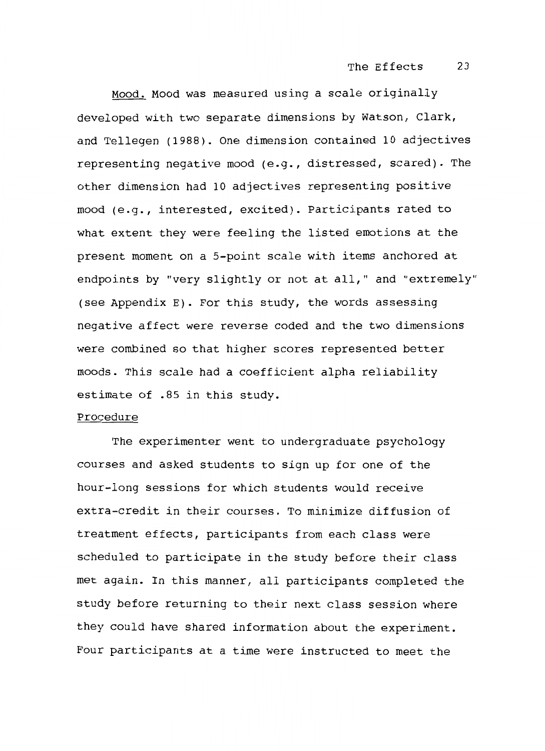Mood. Mood was measured using a scale originally developed with two separate dimensions by Watson, Clark, and Tellegen (1988). One dimension contained 10 adjectives representing negative mood (e.g., distressed, scared). The other dimension had 10 adjectives representing positive mood (e.g., interested, excited). Participants rated to what extent they were feeling the listed emotions at the present moment on a 5-point scale with items anchored at endpoints by "very slightly or not at all," and "extremely" (see Appendix E). For this study, the words assessing negative affect were reverse coded and the two dimensions were combined so that higher scores represented better moods. This scale had a coefficient alpha reliability estimate of .85 in this study.

#### Procedure

The experimenter went to undergraduate psychology courses and asked students to sign up for one of the hour-long sessions for which students would receive extra-credit in their courses. To minimize diffusion of treatment effects, participants from each class were scheduled to participate in the study before their class met again. In this manner, all participants completed the study before returning to their next class session where they could have shared information about the experiment. Four participants at a time were instructed to meet the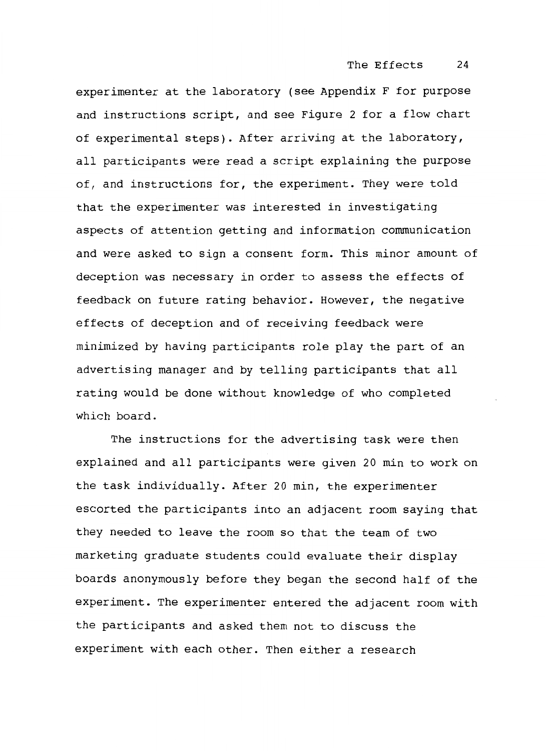experimenter at the laboratory (see Appendix F for purpose and instructions script, and see Figure 2 for a flow chart of experimental steps). After arriving at the laboratory, all participants were read a script explaining the purpose of, and instructions for, the experiment. They were told that the experimenter was interested in investigating aspects of attention getting and information communication and were asked to sign a consent form. This minor amount of deception was necessary in order to assess the effects of feedback on future rating behavior. However, the negative effects of deception and of receiving feedback were minimized by having participants role play the part of an advertising manager and by telling participants that all rating would be done without knowledge of who completed which board.

The instructions for the advertising task were then explained and all participants were given 20 min to work on the task individually. After 20 min, the experimenter escorted the participants into an adjacent room saying that they needed to leave the room so that the team of two marketing graduate students could evaluate their display boards anonymously before they began the second half of the experiment. The experimenter entered the adjacent room with the participants and asked them not to discuss the experiment with each other. Then either a research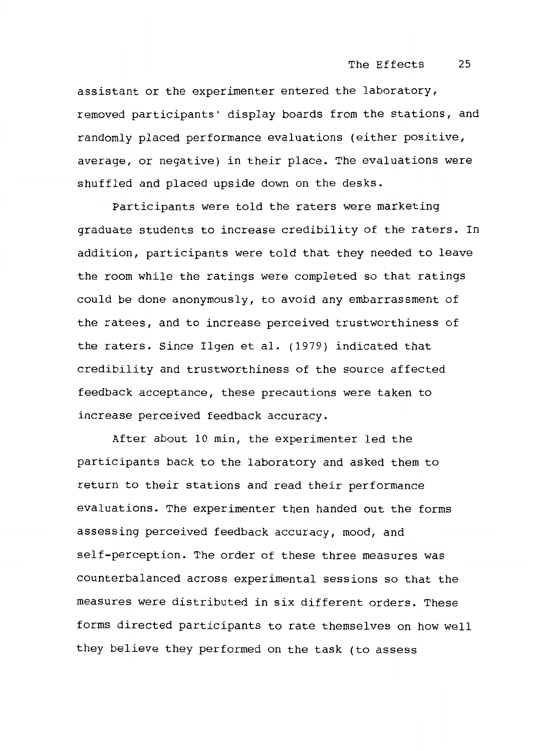assistant or the experimenter entered the laboratory, removed participants' display boards from the stations, and randomly placed performance evaluations (either positive, average, or negative) in their place. The evaluations were shuffled and placed upside down on the desks.

Participants were told the raters were marketing graduate students to increase credibility of the raters. In addition, participants were told that they needed to leave the room while the ratings were completed so that ratings could be done anonymously, to avoid any embarrassment of the ratees, and to increase perceived trustworthiness of the raters. Since Ilgen et al. (1979) indicated that credibility and trustworthiness of the source affected feedback acceptance, these precautions were taken to increase perceived feedback accuracy.

After about 10 min, the experimenter led the participants back to the laboratory and asked them to return to their stations and read their performance evaluations. The experimenter then handed out the forms assessing perceived feedback accuracy, mood, and self-perception. The order of these three measures was counterbalanced across experimental sessions so that the measures were distributed in six different orders. These forms directed participants to rate themselves on how well they believe they performed on the task (to assess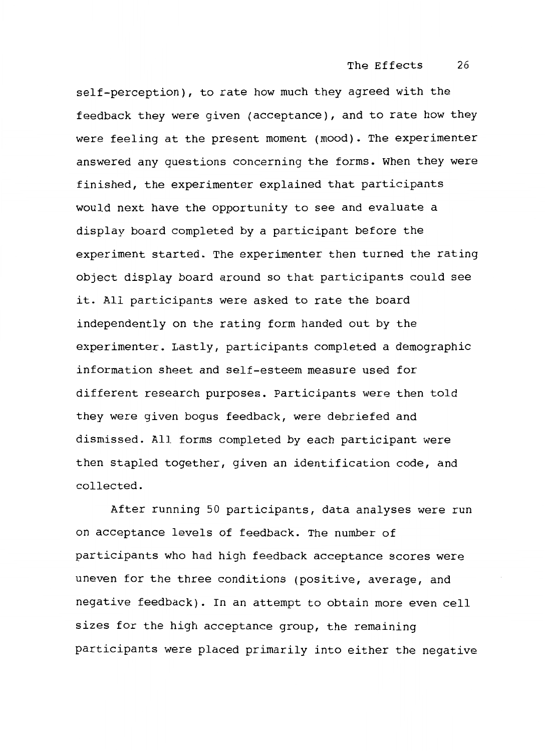self-perception), to rate how much they agreed with the feedback they were given (acceptance), and to rate how they were feeling at the present moment (mood). The experimenter answered any questions concerning the forms. When they were finished, the experimenter explained that participants would next have the opportunity to see and evaluate a display board completed by a participant before the experiment started. The experimenter then turned the rating object display board around so that participants could see it. All participants were asked to rate the board independently on the rating form handed out by the experimenter. Lastly, participants completed a demographic information sheet and self-esteem measure used for different research purposes. Participants were then told they were given bogus feedback, were debriefed and dismissed. All forms completed by each participant were then stapled together, given an identification code, and collected.

After running 50 participants, data analyses were run on acceptance levels of feedback. The number of participants who had high feedback acceptance scores were uneven for the three conditions (positive, average, and negative feedback). In an attempt to obtain more even cell sizes for the high acceptance group, the remaining participants were placed primarily into either the negative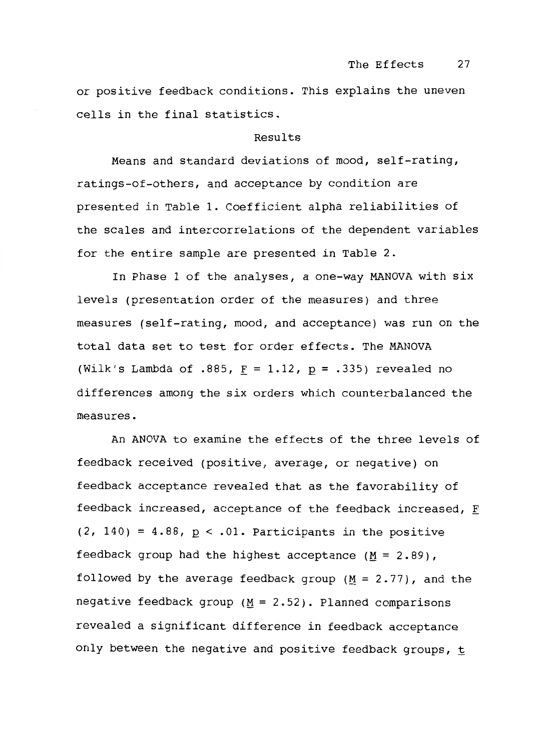or positive feedback conditions. This explains the uneven cells in the final statistics.

#### Results

Means and standard deviations of mood, self-rating, ratings-of-others, and acceptance by condition are presented in Table 1. Coefficient alpha reliabilities of the scales and intercorrelations of the dependent variables for the entire sample are presented in Table 2.

In Phase 1 of the analyses, a one-way MANOVA with six levels (presentation order of the measures) and three measures (self-rating, mood, and acceptance) was run on the total data set to test for order effects. The MANOVA (Wilk's Lambda of .885,  $\underline{F} = 1.12$ ,  $\underline{p} = .335$ ) revealed no differences among the six orders which counterbalanced the measures.

An ANOVA to examine the effects of the three levels of feedback received (positive, average, or negative) on feedback acceptance revealed that as the favorability of feedback increased, acceptance of the feedback increased,  $\underline{\mathtt{F}}$  $(2, 140) = 4.88$ ,  $p < .01$ . Participants in the positive feedback group had the highest acceptance ( $M = 2.89$ ), followed by the average feedback group (M = 2.77), and the negative feedback group ( $M = 2.52$ ). Planned comparisons</u> revealed a significant difference in feedback acceptance only between the negative and positive feedback groups,  $t$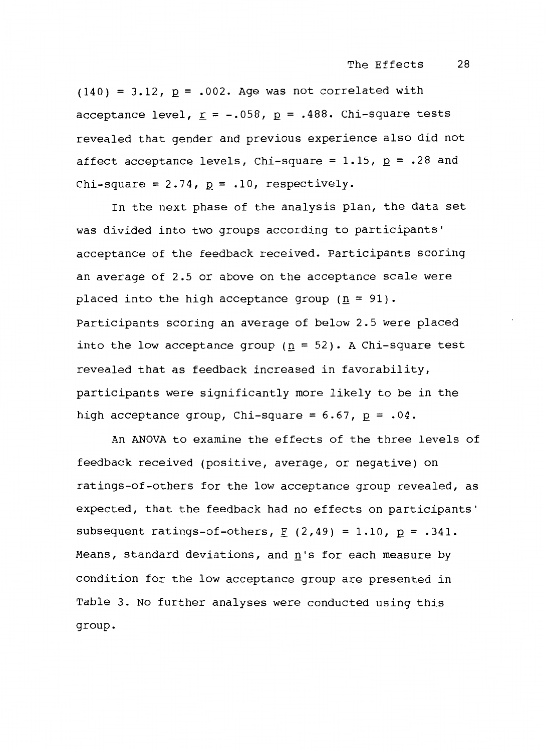$(140) = 3.12$ ,  $p = .002$ . Age was not correlated with acceptance level,  $\underline{r}$  = -.058,  $\underline{p}$  = .488. Chi-square tests revealed that gender and previous experience also did not affect acceptance levels, Chi-square =  $1.15$ ,  $p$  = .28 and Chi-square =  $2.74$ ,  $p = .10$ , respectively.

In the next phase of the analysis plan, the data set was divided into two groups according to participants' acceptance of the feedback received. Participants scoring an average of 2.5 or above on the acceptance scale were placed into the high acceptance group  $(n = 91)$ . Participants scoring an average of below 2.5 were placed into the low acceptance group ( $n = 52$ ). A Chi-square test revealed that as feedback increased in favorability, participants were significantly more likely to be in the high acceptance group, Chi-square =  $6.67$ ,  $p = .04$ .

An ANOVA to examine the effects of the three levels of feedback received (positive, average, or negative) on ratings-of-others for the low acceptance group revealed, as expected, that the feedback had no effects on participants' subsequent ratings-of-others,  $F(2,49) = 1.10$ ,  $p = .341$ . Means, standard deviations, and  $n$ 's for each measure by condition for the low acceptance group are presented in Table 3. No further analyses were conducted using this group.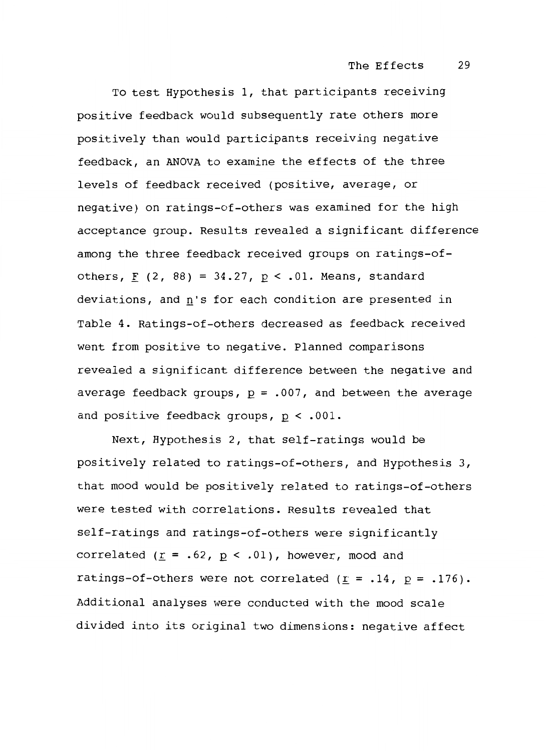To test Hypothesis 1, that participants receiving positive feedback would subsequently rate others more positively than would participants receiving negative feedback, an ANOVA to examine the effects of the three levels of feedback received (positive, average, or negative) on ratings-of-others was examined for the high acceptance group. Results revealed a significant difference among the three feedback received groups on ratings-ofothers,  $\underline{F}$  (2, 88) = 34.27,  $\underline{p}$  < .01. Means, standard deviations, and  $\underline{\tt n}$ 's for each condition are presented in Table 4. Ratings-of-others decreased as feedback received went from positive to negative. Planned comparisons revealed a significant difference between the negative and average feedback groups,  $p = .007$ , and between the average and positive feedback groups,  $p < .001$ .

Next, Hypothesis 2, that self-ratings would be positively related to ratings-of-others, and Hypothesis 3, that mood would be positively related to ratings-of-others were tested with correlations. Results revealed that self-ratings and ratings-of-others were significantly correlated ( $\underline{r}$  = .62,  $\underline{p}$  < .01), however, mood and ratings-of-others were not correlated ( $\underline{r}$  = .14,  $\underline{p}$  = .176). Additional analyses were conducted with the mood scale divided into its original two dimensions: negative affect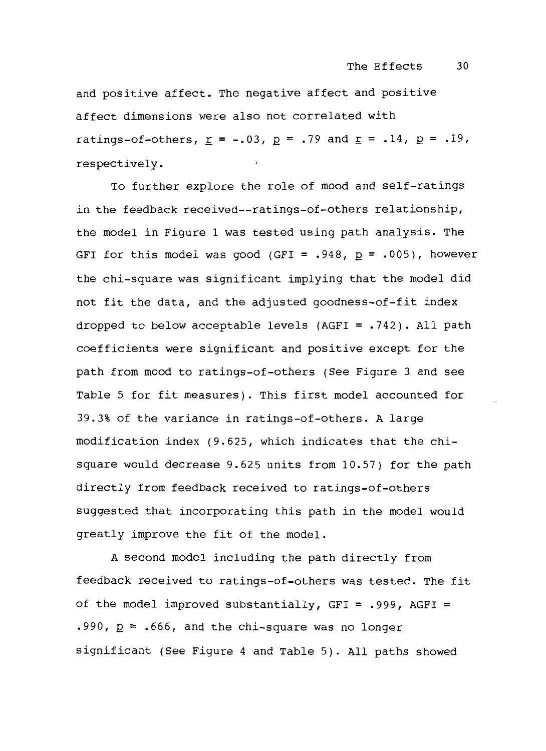and positive affect. The negative affect and positive affect dimensions were also not correlated with ratings-of-others,  $\underline{r} = -.03$ ,  $\underline{p} = .79$  and  $\underline{r} = .14$ ,  $\underline{p} = .19$ ,  $\mathbf{v}$ respectively.

To further explore the role of mood and self-ratings in the feedback received--ratings-of-others relationship, the model in Figure 1 was tested using path analysis. The GFI for this model was good (GFI =  $.948$ ,  $p = .005$ ), however the chi-square was significant implying that the model did not fit the data, and the adjusted goodness-of-fit index dropped to below acceptable levels (AGFI = .742). All path coefficients were significant and positive except for the path from mood to ratings-of-others (See Figure 3 and see Table 5 for fit measures). This first model accounted for 39.3% of the variance in ratings-of-others. A large modification index (9.625, which indicates that the chisquare would decrease 9.625 units from 10.57) for the path directly from feedback received to ratings-of-others suggested that incorporating this path in the model would greatly improve the fit of the model.

A second model including the path directly from feedback received to ratings-of-others was tested. The fit of the model improved substantially, GFI = .999, AGFI = .990,  $p = .666$ , and the chi-square was no longer significant (See Figure 4 and Table 5). All paths showed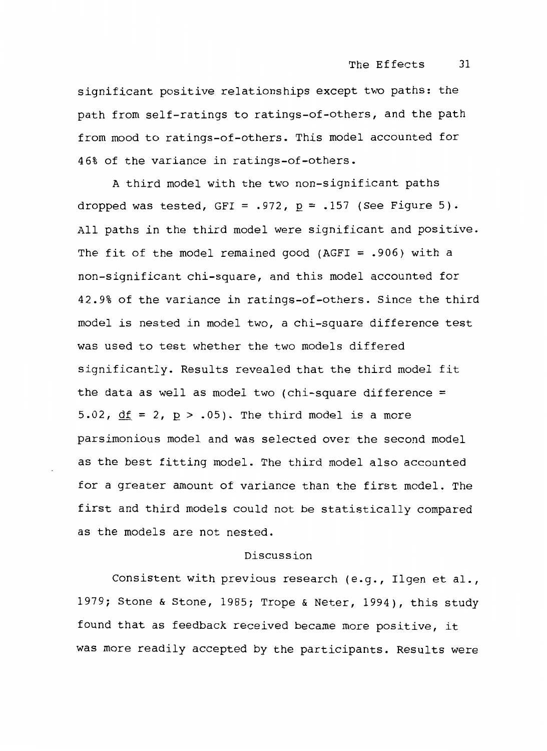significant positive relationships except two paths: the path from self-ratings to ratings-of-others, and the path from mood to ratings-of-others. This model accounted for 46% of the variance in ratings-of-others.

A third model with the two non-significant paths dropped was tested, GFI = .972, *Q* = .157 (See Figure 5). All paths in the third model were significant and positive. The fit of the model remained good (AGFI =  $.906$ ) with a non-significant chi-square, and this model accounted for 42.9% of the variance in ratings-of-others. Since the third model is nested in model two, a chi-square difference test was used to test whether the two models differed significantly. Results revealed that the third model fit the data as well as model two (chi-square difference  $=$ 5.02,  $df = 2$ ,  $p > .05$ ). The third model is a more parsimonious model and was selected over the second model as the best fitting model. The third model also accounted for a greater amount of variance than the first model. The first and third models could not be statistically compared as the models are not nested.

# Discussion

Consistent with previous research (e.g., Ilgen et al., 1979; Stone & Stone, 1985; Trope & Neter, 1994), this study found that as feedback received became more positive, it was more readily accepted by the participants. Results were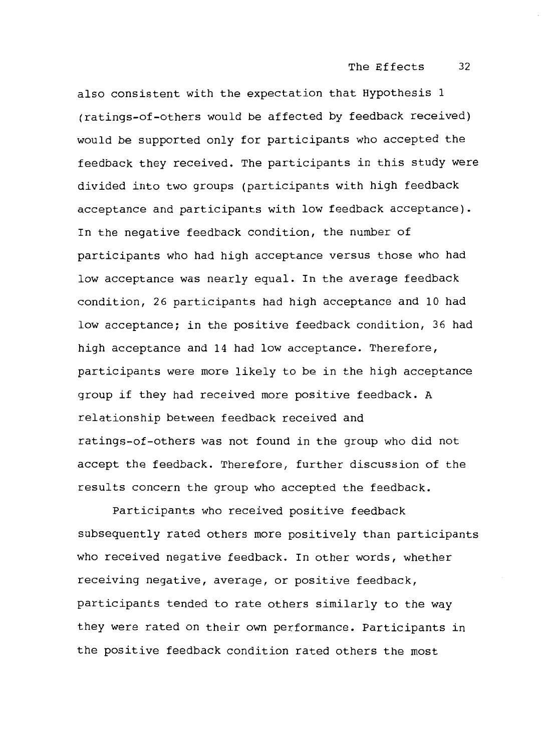The Effects 32

also consistent with the expectation that Hypothesis 1 (ratings-of-others would be affected by feedback received) would be supported only for participants who accepted the feedback they received. The participants in this study were divided into two groups (participants with high feedback acceptance and participants with low feedback acceptance). In the negative feedback condition, the number of participants who had high acceptance versus those who had low acceptance was nearly equal. In the average feedback condition, 26 participants had high acceptance and 10 had low acceptance; in the positive feedback condition, 36 had high acceptance and 14 had low acceptance. Therefore, participants were more likely to be in the high acceptance group if they had received more positive feedback. A relationship between feedback received and ratings-of-others was not found in the group who did not accept the feedback. Therefore, further discussion of the results concern the group who accepted the feedback.

Participants who received positive feedback subsequently rated others more positively than participants who received negative feedback. In other words, whether receiving negative, average, or positive feedback, participants tended to rate others similarly to the way they were rated on their own performance. Participants in the positive feedback condition rated others the most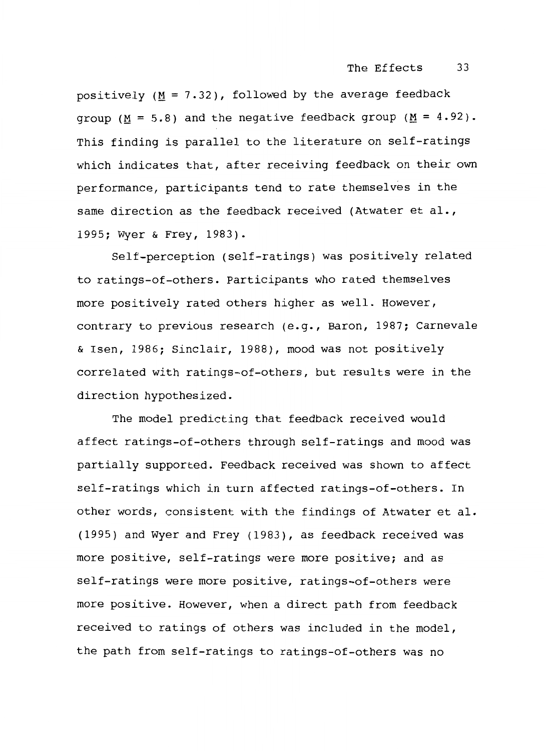positively  $(M = 7.32)$ , followed by the average feedback group ( $M = 5.8$ ) and the negative feedback group ( $M = 4.92$ ). This finding is parallel to the literature on self-ratings which indicates that, after receiving feedback on their own performance, participants tend to rate themselves in the same direction as the feedback received (Atwater et al., 1995; Wyer & Frey, 1983).

Self-perception (self-ratings) was positively related to ratings-of-others. Participants who rated themselves more positively rated others higher as well. However, contrary to previous research (e.g., Baron, 1987; Carnevale & Isen, 1986; Sinclair, 1988), mood was not positively correlated with ratings-of-others, but results were in the direction hypothesized.

The model predicting that feedback received would affect ratings-of-others through self-ratings and mood was partially supported. Feedback received was shown to affect self-ratings which in turn affected ratings-of-others. In other words, consistent with the findings of Atwater et al. (1995) and Wyer and Frey (1983), as feedback received was more positive, self-ratings were more positive; and as self-ratings were more positive, ratings-of-others were more positive. However, when a direct path from feedback received to ratings of others was included in the model, the path from self-ratings to ratings-of-others was no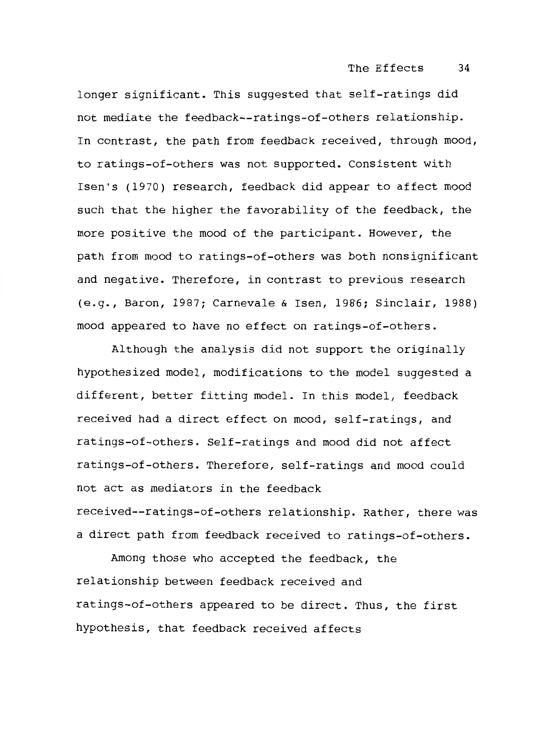longer significant. This suggested that self-ratings did not mediate the feedback--ratings-of-others relationship. In contrast, the path from feedback received, through mood, to ratings-of-others was not supported. Consistent with Isen's (1970) research, feedback did appear to affect mood such that the higher the favorability of the feedback, the more positive the mood of the participant. However, the path from mood to ratings-of-others was both nonsignif icant and negative. Therefore, in contrast to previous research (e.g., Baron, 1987; Carnevale & Isen, 1986; Sinclair, 1988) mood appeared to have no effect on ratings-of-others.

Although the analysis did not support the originally hypothesized model, modifications to the model suggested a different, better fitting model. In this model, feedback received had a direct effect on mood, self-ratings, and ratings-of-others. Self-ratings and mood did not affect ratings-of-others. Therefore, self-ratings and mood could not act as mediators in the feedback received--ratings-of-others relationship. Rather, there was a direct path from feedback received to ratings-of-others.

Among those who accepted the feedback, the relationship between feedback received and ratings-of-others appeared to be direct. Thus, the first hypothesis, that feedback received affects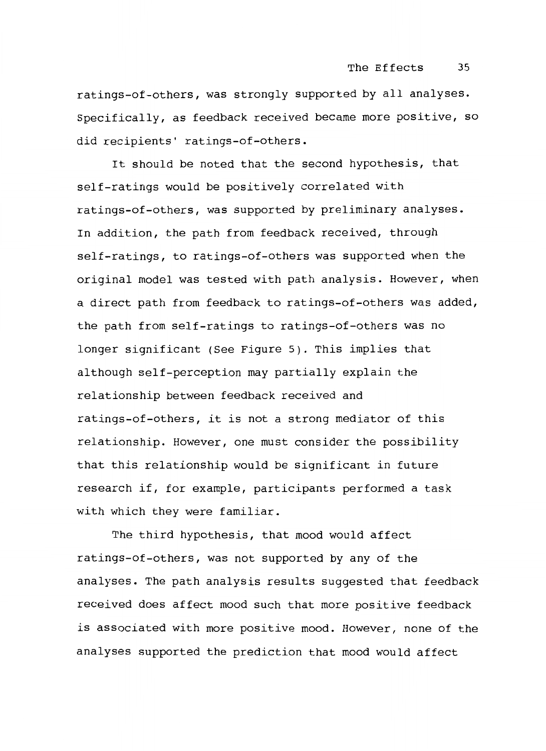ratings-of-others, was strongly supported by all analyses. Specifically, as feedback received became more positive, so did recipients' ratings-of-others.

It should be noted that the second hypothesis, that self-ratings would be positively correlated with ratings-of-others, was supported by preliminary analyses. In addition, the path from feedback received, through self-ratings, to ratings-of-others was supported when the original model was tested with path analysis. However, when a direct path from feedback to ratings-of-others was added, the path from self-ratings to ratings-of-others was no longer significant (See Figure 5). This implies that although self-perception may partially explain the relationship between feedback received and ratings-of-others, it is not a strong mediator of this relationship. However, one must consider the possibility that this relationship would be significant in future research if, for example, participants performed a task with which they were familiar.

The third hypothesis, that mood would affect ratings-of-others, was not supported by any of the analyses. The path analysis results suggested that feedback received does affect mood such that more positive feedback is associated with more positive mood. However, none of the analyses supported the prediction that mood would affect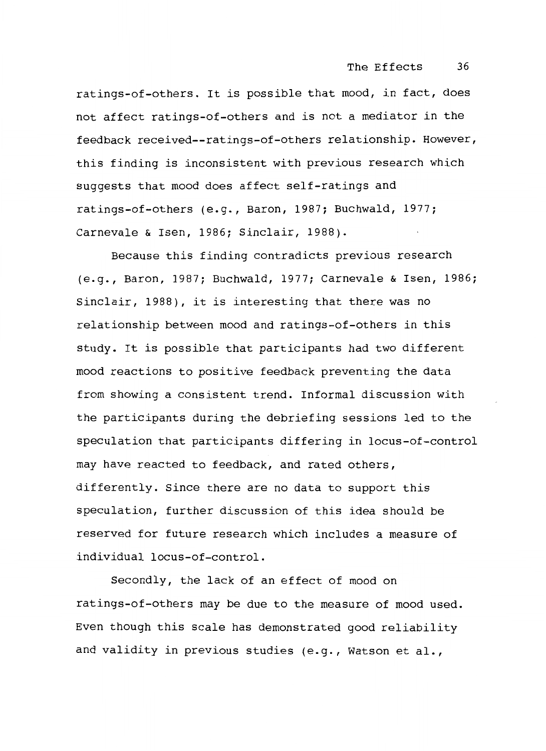ratings-of-others. It is possible that mood, in fact, does not affect ratings-of-others and is not a mediator in the feedback received--ratings-of-others relationship. However, this finding is inconsistent with previous research which suggests that mood does affect self-ratings and ratings-of-others (e.g., Baron, 1987; Buchwald, 1977; Carnevale & Isen, 1986; Sinclair, 1988).

Because this finding contradicts previous research (e.g., Baron, 1987; Buchwald, 1977; Carnevale & Isen, 1986; Sinclair, 1988), it is interesting that there was no relationship between mood and ratings-of-others in this study. It is possible that participants had two different mood reactions to positive feedback preventing the data from showing a consistent trend. Informal discussion with the participants during the debriefing sessions led to the speculation that participants differing in locus-of-control may have reacted to feedback, and rated others, differently. Since there are no data to support this speculation, further discussion of this idea should be reserved for future research which includes a measure of individual locus-of-control.

Secondly, the lack of an effect of mood on ratings-of-others may be due to the measure of mood used. Even though this scale has demonstrated good reliability and validity in previous studies (e.g., Watson et al.,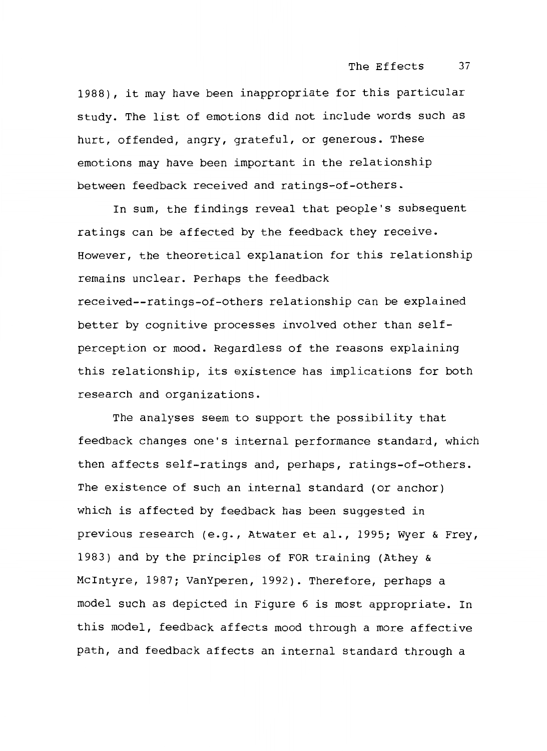1988), it may have been inappropriate for this particular study. The list of emotions did not include words such as hurt, offended, angry, grateful, or generous. These emotions may have been important in the relationship between feedback received and ratings-of-others.

In sum, the findings reveal that people's subsequent ratings can be affected by the feedback they receive. However, the theoretical explanation for this relationship remains unclear. Perhaps the feedback received--ratings-of-others relationship can be explained better by cognitive processes involved other than selfperception or mood. Regardless of the reasons explaining this relationship, its existence has implications for both research and organizations.

The analyses seem to support the possibility that feedback changes one's internal performance standard, which then affects self-ratings and, perhaps, ratings-of-others. The existence of such an internal standard (or anchor) which is affected by feedback has been suggested in previous research (e.g., Atwater et al., 1995; Wyer & Frey, 1983) and by the principles of FOR training (Athey & Mcintyre, 1987; VanYperen, 1992). Therefore, perhaps a model such as depicted in Figure 6 is most appropriate. In this model, feedback affects mood through a more affective path, and feedback affects an internal standard through a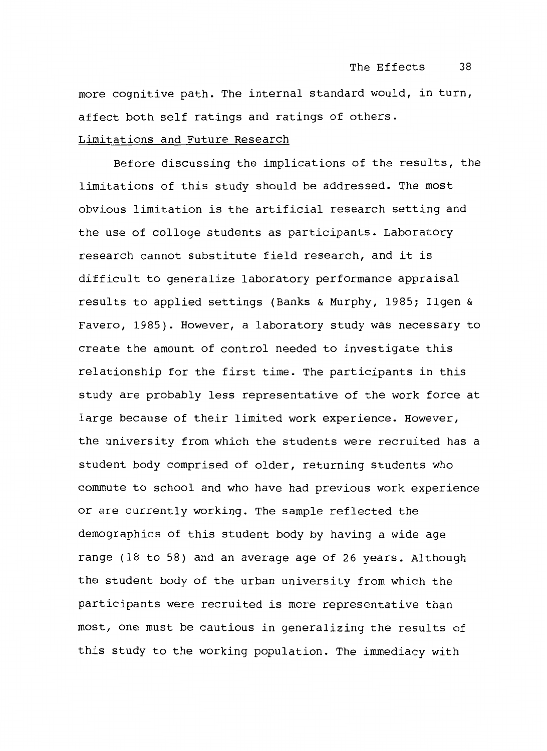more cognitive path. The internal standard would, in turn, affect both self ratings and ratings of others.

# Limitations and Future Research

Before discussing the implications of the results, the limitations of this study should be addressed. The most obvious limitation is the artificial research setting and the use of college students as participants. Laboratory research cannot substitute field research, and it is difficult to generalize laboratory performance appraisal results to applied settings (Banks & Murphy, 1985; Ilgen & Favero, 1985). However, a laboratory study was necessary to create the amount of control needed to investigate this relationship for the first time. The participants in this study are probably less representative of the work force at large because of their limited work experience. However, the university from which the students were recruited has a student body comprised of older, returning students who commute to school and who have had previous work experience or are currently working. The sample reflected the demographics of this student body by having a wide age range (18 to 58) and an average age of 26 years. Although the student body of the urban university from which the participants were recruited is more representative than most, one must be cautious in generalizing the results of this study to the working population. The immediacy with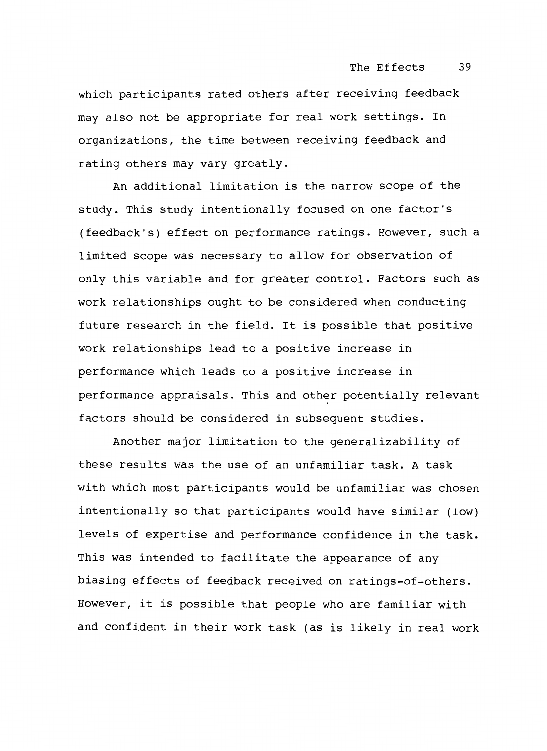which participants rated others after receiving feedback may also not be appropriate for real work settings. In organizations, the time between receiving feedback and rating others may vary greatly.

An additional limitation is the narrow scope of the study. This study intentionally focused on one factor's (feedback's) effect on performance ratings. However, such a limited scope was necessary to allow for observation of only this variable and for greater control. Factors such as work relationships ought to be considered when conducting future research in the field. It is possible that positive work relationships lead to a positive increase in performance which leads to a positive increase in performance appraisals. This and other potentially relevant factors should be considered in subsequent studies.

Another major limitation to the generalizability of these results was the use of an unfamiliar task. A task with which most participants would be unfamiliar was chosen intentionally so that participants would have similar (low) levels of expertise and performance confidence in the task. This was intended to facilitate the appearance of any biasing effects of feedback received on ratings-of-others. However, it is possible that people who are familiar with and confident in their work task (as is likely in real work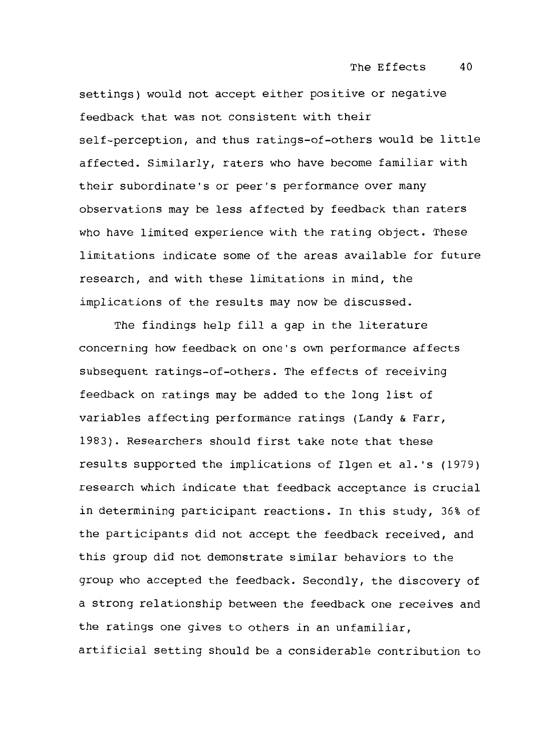settings) would not accept either positive or negative feedback that was not consistent with their self-perception, and thus ratings-of-others would be little affected. Similarly, raters who have become familiar with their subordinate's or peer's performance over many observations may be less affected by feedback than raters who have limited experience with the rating object. These limitations indicate some of the areas available for future research, and with these limitations in mind, the implications of the results may now be discussed.

The findings help fill a gap in the literature concerning how feedback on one's own performance affects subsequent ratings-of-others. The effects of receiving feedback on ratings may be added to the long list of variables affecting performance ratings (Landy & Farr, 1983). Researchers should first take note that these results supported the implications of Ilgen et al. 's (1979) research which indicate that feedback acceptance is crucial in determining participant reactions. In this study, 36% of the participants did not accept the feedback received, and this group did not demonstrate similar behaviors to the group who accepted the feedback. Secondly, the discovery of a strong relationship between the feedback one receives and the ratings one gives to others in an unfamiliar, artificial setting should be a considerable contribution to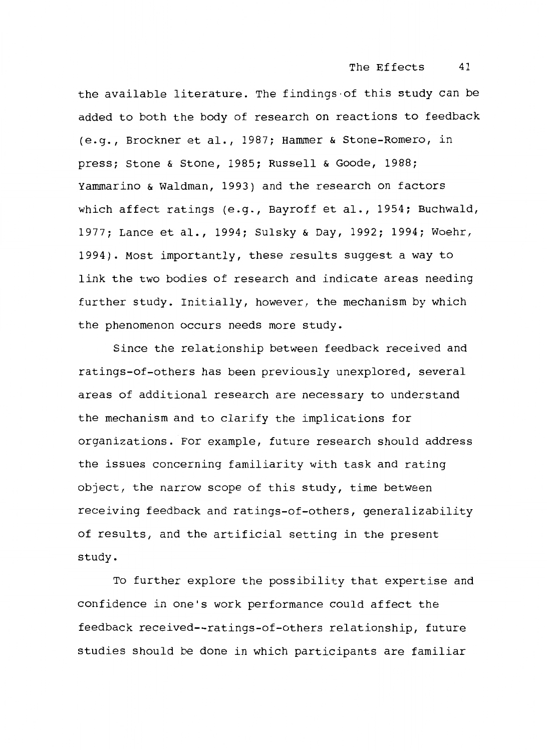the available literature. The findings-of this study can be added to both the body of research on reactions to feedback (e.g., Brockner et al., 1987; Hammer & Stone-Romero, in press; Stone & Stone, 1985; Russell & Goode, 1988; Yammarino & Waldman, 1993) and the research on factors which affect ratings (e.g., Bayroff et al., 1954; Buchwald, 1977; Lance et al., 1994; Sulsky & Day, 1992; 1994; Woehr, 1994). Most importantly, these results suggest a way to link the two bodies of research and indicate areas needing further study. Initially, however, the mechanism by which the phenomenon occurs needs more study.

Since the relationship between feedback received and ratings-of-others has been previously unexplored, several areas of additional research are necessary to understand the mechanism and to clarify the implications for organizations. For example, future research should address the issues concerning familiarity with task and rating object, the narrow scope of this study, time between receiving feedback and ratings-of-others, generalizability of results, and the artificial setting in the present study.

To further explore the possibility that expertise and confidence in one's work performance could affect the feedback received--ratings-of-others relationship, future studies should be done in which participants are familiar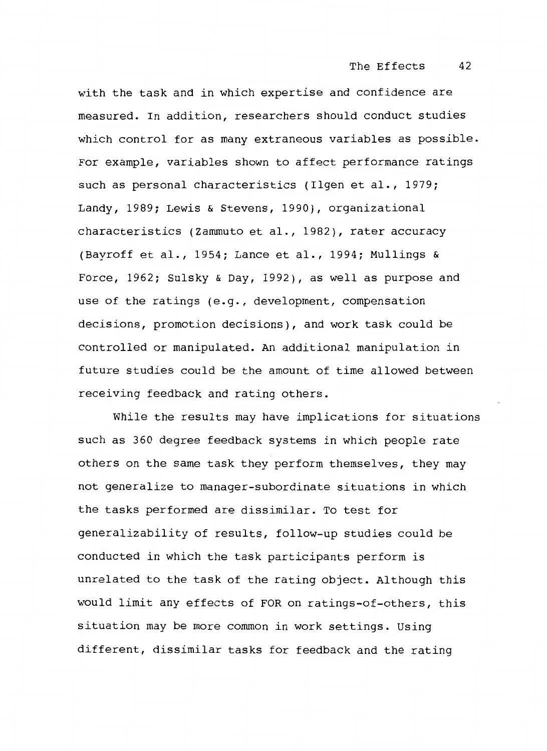with the task and in which expertise and confidence are measured. In addition, researchers should conduct studies which control for as many extraneous variables as possible. For example, variables shown to affect performance ratings such as personal characteristics (Ilgen et al., 1979; Landy, 1989; Lewis & Stevens, 1990), organizational characteristics (Zammuto et al., 1982), rater accuracy (Bayroff et al., 1954; Lance et al., 1994; Mullings & Force, 1962; Sulsky & Day, 1992), as well as purpose and use of the ratings (e.g., development, compensation decisions, promotion decisions), and work task could be controlled or manipulated. An additional manipulation in future studies could be the amount of time allowed between receiving feedback and rating others.

While the results may have implications for situations such as 360 degree feedback systems in which people rate others on the same task they perform themselves, they may not generalize to manager-subordinate situations in which the tasks performed are dissimilar. To test for generalizability of results, follow-up studies could be conducted in which the task participants perform is unrelated to the task of the rating object. Although this would limit any effects of FOR on ratings-of-others, this situation may be more common in work settings. Using different, dissimilar tasks for feedback and the rating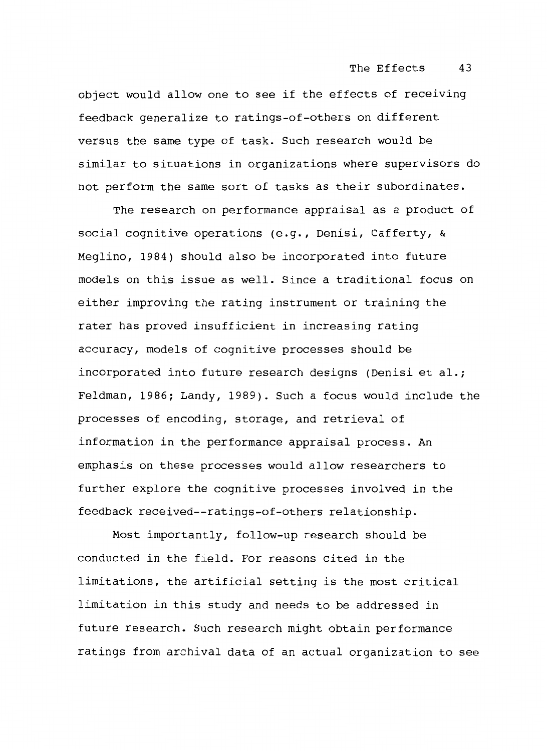The Effects 43

object would allow one to see if the effects of receiving feedback generalize to ratings-of-others on different versus the same type of task. Such research would be similar to situations in organizations where supervisors do not perform the same sort of tasks as their subordinates.

The research on performance appraisal as a product of social cognitive operations (e.g., Denisi, Cafferty, & Meglino, 1984) should also be incorporated into future models on this issue as well. Since a traditional focus on either improving the rating instrument or training the rater has proved insufficient in increasing rating accuracy, models of cognitive processes should be incorporated into future research designs (Denisi et al.; Feldman, 1986; Landy, 1989). Such a focus would include the processes of encoding, storage, and retrieval of information in the performance appraisal process. An emphasis on these processes would allow researchers to further explore the cognitive processes involved in the feedback received--ratings-of-others relationship.

Most importantly, follow-up research should be conducted in the field. For reasons cited in the limitations, the artificial setting is the most critical limitation in this study and needs to be addressed in future research. Such research might obtain performance ratings from archival data of an actual organization to see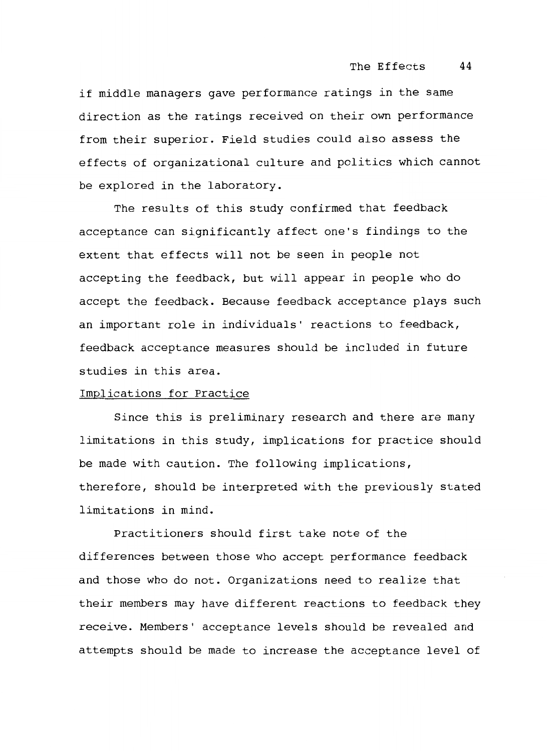if middle managers gave performance ratings in the same direction as the ratings received on their own performance from their superior. Field studies could also assess the effects of organizational culture and politics which cannot be explored in the laboratory.

The results of this study confirmed that feedback acceptance can significantly affect one's findings to the extent that effects will not be seen in people not accepting the feedback, but will appear in people who do accept the feedback. Because feedback acceptance plays such an important role in individuals' reactions to feedback, feedback acceptance measures should be included in future studies in this area.

## Implications for Practice

Since this is preliminary research and there are many limitations in this study, implications for practice should be made with caution. The following implications, therefore, should be interpreted with the previously stated limitations in mind.

Practitioners should first take note of the differences between those who accept performance feedback and those who do not. Organizations need to realize that their members may have different reactions to feedback they receive. Members' acceptance levels should be revealed and attempts should be made to increase the acceptance level of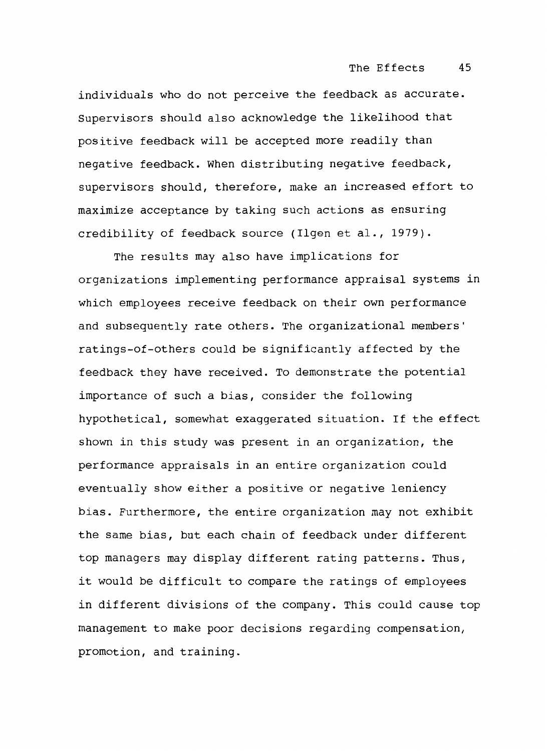individuals who do not perceive the feedback as accurate. supervisors should also acknowledge the likelihood that positive feedback will be accepted more readily than negative feedback. When distributing negative feedback, supervisors should, therefore, make an increased effort to maximize acceptance by taking such actions as ensuring credibility of feedback source (Ilgen et al., 1979).

The results may also have implications for organizations implementing performance appraisal systems in which employees receive feedback on their own performance and subsequently rate others. The organizational members' ratings-of-others could be significantly affected by the feedback they have received. To demonstrate the potential importance of such a bias, consider the following hypothetical, somewhat exaggerated situation. If the effect shown in this study was present in an organization, the performance appraisals in an entire organization could eventually show either a positive or negative leniency bias. Furthermore, the entire organization may not exhibit the same bias, but each chain of feedback under different top managers may display different rating patterns. Thus, it would be difficult to compare the ratings of employees in different divisions of the company. This could cause top management to make poor decisions regarding compensation, promotion, and training.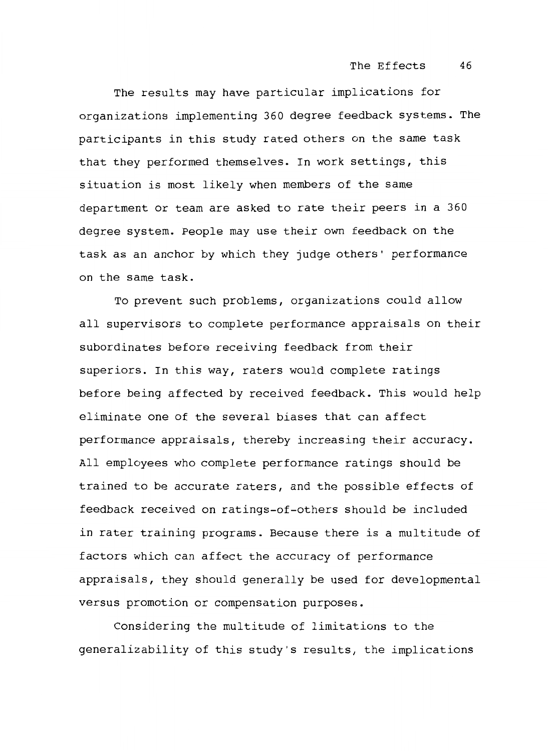The results may have particular implications for organizations implementing 360 degree feedback systems. The participants in this study rated others on the same task that they performed themselves. In work settings, this situation is most likely when members of the same department or team are asked to rate their peers in a 360 degree system. People may use their own feedback on the task as an anchor by which they judge others' performance on the same task.

To prevent such problems, organizations could allow all supervisors to complete performance appraisals on their subordinates before receiving feedback from their superiors. In this way, raters would complete ratings before being affected by received feedback. This would help eliminate one of the several biases that can affect performance appraisals, thereby increasing their accuracy. All employees who complete performance ratings should be trained to be accurate raters, and the possible effects of feedback received on ratings-of-others should be included in rater training programs. Because there is a multitude of factors which can affect the accuracy of performance appraisals, they should generally be used for developmental versus promotion or compensation purposes.

Considering the multitude of limitations to the generalizability of this study's results, the implications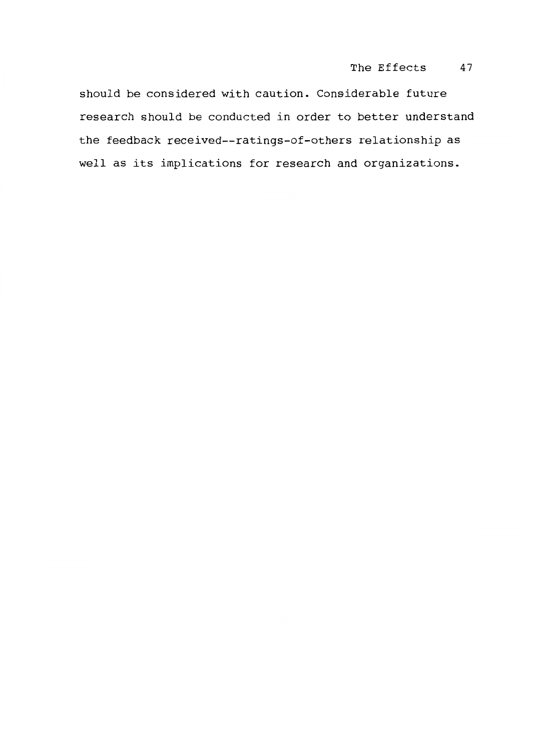# The Effects 47

should be considered with caution. Considerable future research should be conducted in order to better understand the feedback received--ratings-of-others relationship as well as its implications for research and organizations.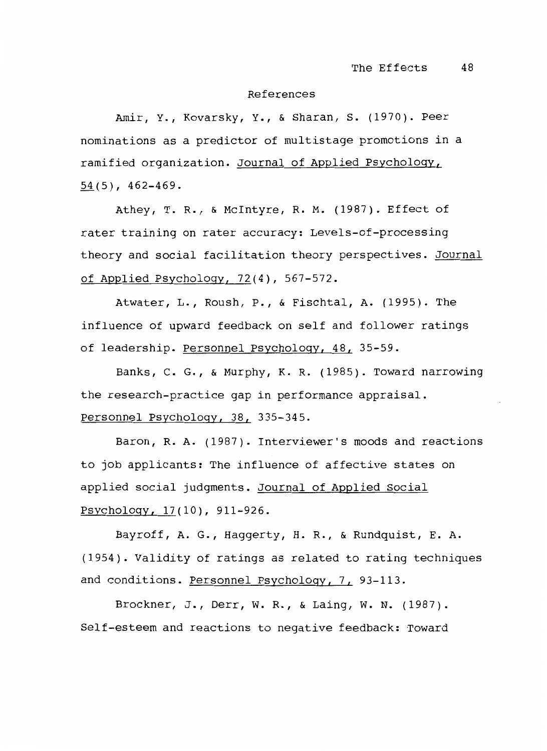#### References

Amir, Y., Kovarsky, Y., & Sharan, s. (1970). Peer nominations as a predictor of multistage promotions in a ramified organization. Journal of Applied Psychology,  $54(5)$ , 462-469.

Athey, T. R., & Mcintyre, R. M. (1987). Effect of rater training on rater accuracy: Levels-of-processing theory and social facilitation theory perspectives. <u>Journal</u> of Applied Psychology, 72(4), 567-572.

Atwater, L., Roush, P., & Fischtal, A. (1995). The influence of upward feedback on self and follower ratings of leadership. Personnel Psychology, 48, 35-59.

Banks, c. G., & Murphy, K. R. (1985). Toward narrowing the research-practice gap in performance appraisal. Personnel Psychology, 38, 335-345.

Baron, R. A. (1987). Interviewer's moods and reactions to job applicants: The influence of affective states on applied social judgments. Journal of Applied Social Psychology, 17(10), 911-926.

Bayroff, A.G., Haggerty, H. R., & Rundquist, E. A. (1954). Validity of ratings as related to rating techniques and conditions. Personnel Psychology, 7, 93-113.

Brockner, J., Derr, w. R., & Laing, w. N. (1987). Self-esteem and reactions to negative feedback: Toward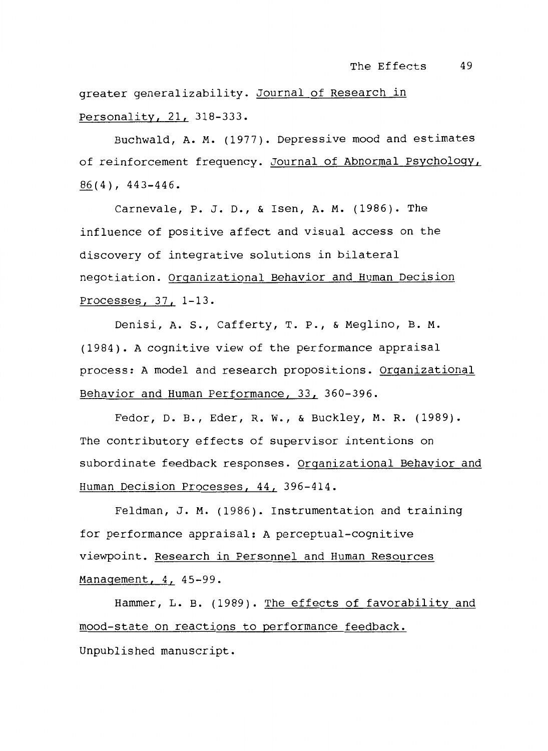greater generalizability. Journal of Research in Personality, 21, 318-333.

Buchwald, A. M. (1977). Depressive mood and estimates of reinforcement frequency. Journal of Abnormal Psychology,  $86(4)$ , 443-446.

Carnevale, P. J. D., & Isen, A. M. (1986). The influence of positive affect and visual access on the discovery of integrative solutions in bilateral negotiation. Organizational Behavior and Human Decision Processes, 37, 1-13.

Denisi, A. s., Cafferty, T. P., & Meglino, B. M. (1984). A cognitive view of the performance appraisal process: A model and research propositions. Organizational Behavior and Human Performance, 33, 360-396.

Fedor, D. B., Eder, R. w., & Buckley, M. R. (1989). The contributory effects of supervisor intentions on subordinate feedback responses. Organizational Behavior and Human Decision Processes, 44, 396-414.

Feldman, J. M. (1986). Instrumentation and training for performance appraisal: A perceptual-cognitive viewpoint. Research in Personnel and Human Resources Management, 4, 45-99.

Hammer, L. B. (1989). The effects of favorability and mood-state on reactions to performance feedback. Unpublished manuscript.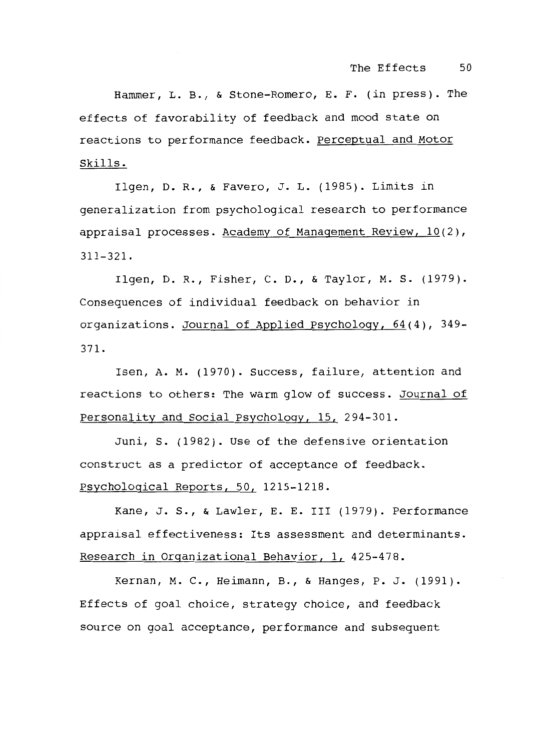Hammer, L.B., & Stone-Romero, E. F. (in press). The effects of favorability of feedback and mood state on reactions to performance feedback. Perceptual and Motor Skills.

Ilgen, D.R., & Favero, J. L. (198S). Limits in generalization from psychological research to performance appraisal processes. Academy of Management Review, 10(2), 311-321.

Ilgen, D.R., Fisher, c. D., & Taylor, M. s. (1979). Consequences of individual feedback on behavior in organizations. Journal of Applied Psychology, 64(4), 349- 371.

Isen, A. M. (1970). Success, failure, attention and reactions to others: The warm glow of success. Journal of Personality and Social Psychology, 15, 294-301.

Juni, s. (1982). Use of the defensive orientation construct as a predictor of acceptance of feedback. Psychological Reports, SO, 121S-1218.

Kane, J. s., & Lawler, E. E. III (1979). Performance appraisal effectiveness: Its assessment and determinants. Research in Organizational Behavior, 1, 42S-478.

Kernan, M. c., Heimann, B., & Hanges, P. J. (1991). Effects of goal choice, strategy choice, and feedback source on goal acceptance, performance and subsequent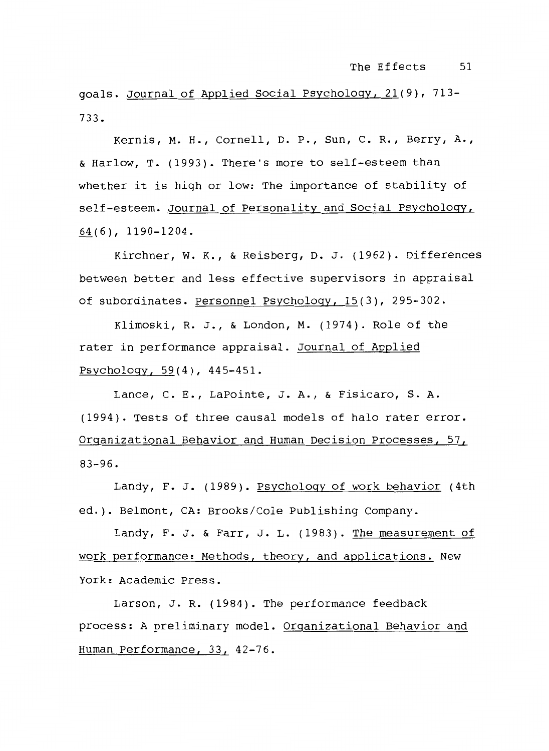goals. Journal of Applied Social Psychology, 21(9), 713- 733.

Kernis, M. H., Cornell, D. P., Sun, c. R., Berry, A., & Harlow, T. (1993). There's more to self-esteem than whether it is high or low: The importance of stability of self-esteem. Journal of Personality and Social Psychology, 64(6), 1190-1204.

Kirchner, w. K., & Reisberg, D. J. (1962). Differences between better and less effective supervisors in appraisal of subordinates. Personnel Psychology, 15(3), 295-302.

Klimoski, R. J., & London, M. (1974). Role of the rater in performance appraisal. Journal of Applied Psychology, 59(4), 445-451.

Lance, C. E., LaPointe, J. A., & Fisicaro, s. A. (1994). Tests of three causal models of halo rater error. Organizational Behavior and Human Decision Processes, 57, 83-96.

Landy, F. J. (1989). Psychology of work behavior (4th ed.). Belmont, CA: Brooks/Cole Publishing Company.

Landy, F. J. & Farr, J. L. (1983). The measurement of work performance: Methods, theory, and applications. New York: Academic Press.

Larson, J. R. (1984). The performance feedback process: A preliminary model. Organizational Behavior and Human Performance, 33, 42-76.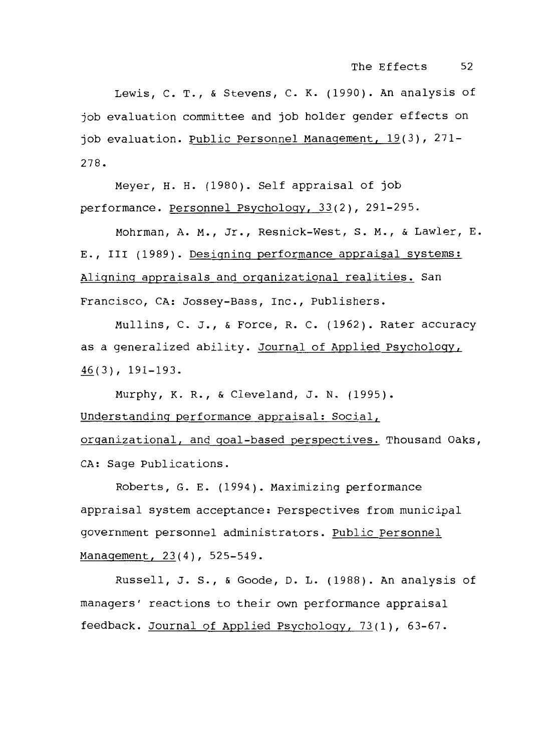Lewis, c. T., & Stevens, c. K. (1990). An analysis of job evaluation committee and job holder gender effects on job evaluation. Public Personnel Management, 19(3), 271-278.

Meyer, H. H. (1980). Self appraisal of job performance. Personnel Psychology, 33(2), 291-295.

Mohrman, A. M., Jr., Resnick-West, s. M., & Lawler, E. E., III (1989). Designing performance appraisal systems: Aligning appraisals and organizational realities. San Francisco, CA: Jossey-Bass, Inc., Publishers.

Mullins, c. J., & Force, R. C. (1962). Rater accuracy as a generalized ability. Journal of Applied Psychology, 46(3), 191-193.

Murphy, K. R., & Cleveland, J. N. (1995). Understanding performance appraisal: Social, organizational, and goal-based perspectives. Thousand Oaks, CA: Sage Publications.

Roberts, G. E. (1994). Maximizing performance appraisal system acceptance: Perspectives from municipal government personnel administrators. Public Personnel Management, 23(4), 525-549.

Russell, J. s., & Goode, D. L. (1988). An analysis of managers' reactions to their own performance appraisal feedback. Journal of Applied Psychology, 73(1), 63-67.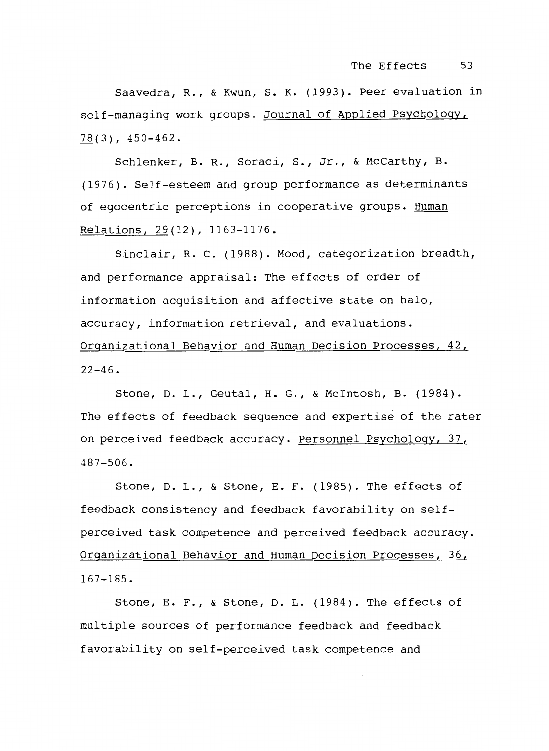Saavedra, R., & Kwun, s. K. (1993). Peer evaluation in self-managing work groups. Journal of Applied Psychology,  $78(3)$ , 450-462.

Schlenker, B. R., Soraci, s., Jr., & McCarthy, B. (1976). Self-esteem and group performance as determinants of egocentric perceptions in cooperative groups. Human Relations, 29(12), 1163-1176.

Sinclair, R. c. (1988). Mood, categorization breadth, and performance appraisal: The effects of order of information acquisition and affective state on halo, accuracy, information retrieval, and evaluations. Organizational Behavior and Human Decision Processes, 42,  $22 - 46$ .

Stone, D. L., Geutal, H. G., & Mcintosh, B. (1984). The effects of feedback sequence and expertise of the rater on perceived feedback accuracy. Personnel Psychology, 37, 487-506.

Stone, D. L., & Stone, E. F. (1985). The effects of feedback consistency and feedback favorability on selfperceived task competence and perceived feedback accuracy. Organizational Behavior and Human Decision Processes, 36, 167-185.

Stone, E. F., & Stone, D. L. (1984). The effects of multiple sources of performance feedback and feedback f avorability on self-perceived task competence and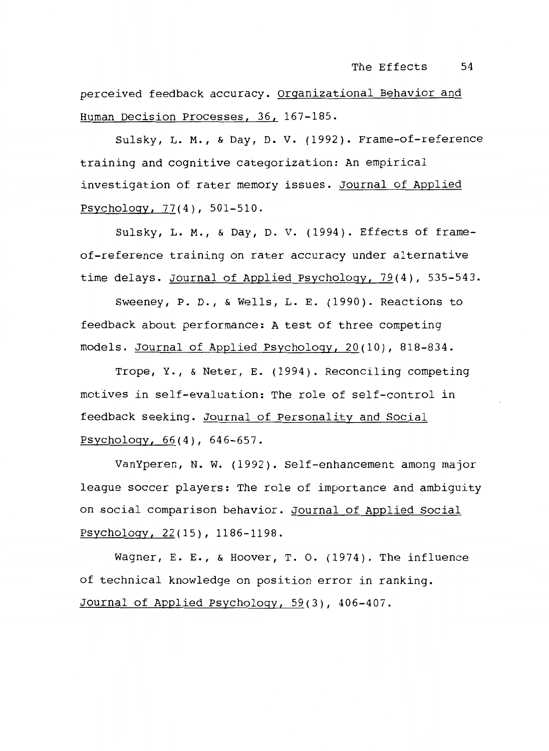perceived feedback accuracy. Organizational Behavior and Human Decision Processes, 36, 167-185.

Sulsky, L. M., & Day, D. v. (1992). Frame-of-reference training and cognitive categorization: An empirical investigation of rater memory issues. Journal of Applied Psychology, 77(4), 501-510.

Sulsky, L. M., & Day, D. v. (1994). Effects of frameof-reference training on rater accuracy under alternative time delays. Journal of Applied Psychology, 79(4), 535-543.

Sweeney, P. D., & Wells, L. E. (1990). Reactions to feedback about performance: A test of three competing models. Journal of Applied Psychology, 20(10), 818-834.

Trope, Y., & Neter, E. (1994). Reconciling competing motives in self-evaluation: The role of self-control in feedback seeking. Journal of Personality and Social  $Psychology, 66(4), 646-657.$ 

VanYperen, N. w. (1992). Self-enhancement among major league soccer players: The role of importance and ambiguity on social comparison behavior. Journal of Applied Social Psychology, 22(15), 1186-1198.

Wagner, E. E., & Hoover, T. o. (1974). The influence of technical knowledge on position error in ranking. Journal of Applied Psychology, 59(3), 406-407.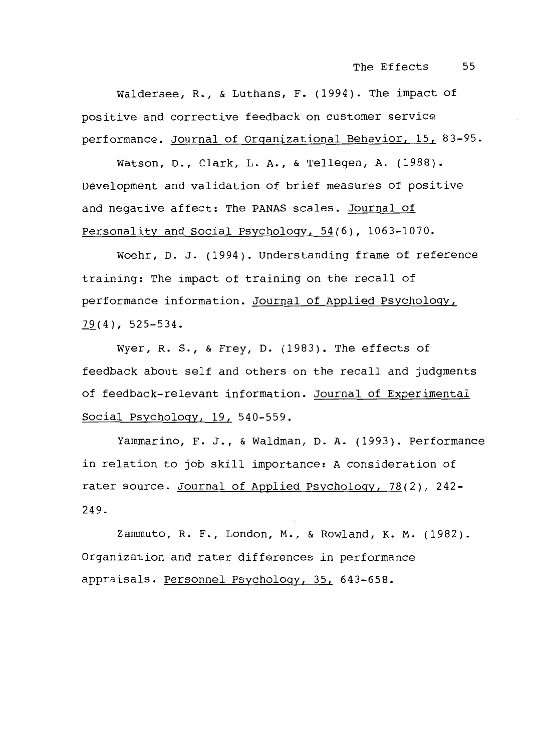The Effects 55

Waldersee, R., & Luthans, F. (1994). The impact of positive and corrective feedback on customer service performance. Journal of Organizational Behavior, 15, 83-95.

Watson, D., Clark, L.A., & Tellegen, A. (1988). Development and validation of brief measures of positive and negative affect: The PANAS scales. Journal of Personality and Social Psychology, 54(6), 1063-1070.

Woehr, D. J. (1994). Understanding frame of reference training: The impact of training on the recall of performance information. Journal of Applied Psychology,  $79(4)$ , 525-534.

Wyer, R. s., & Frey, D. (1983). The effects of feedback about self and others on the recall and judgments of feedback-relevant information. Journal of Experimental Social Psychology, 19, 540-559.

Yammarino, F. J., & Waldman, D. A. (1993). Performance in relation to job skill importance: A consideration of rater source. Journal of Applied Psychology, 78(2), 242- 249.

Zammuto, R. F., London, M., & Rowland, K. M. (1982). Organization and rater differences in performance appraisals. Personnel Psychology, 35, 643-658.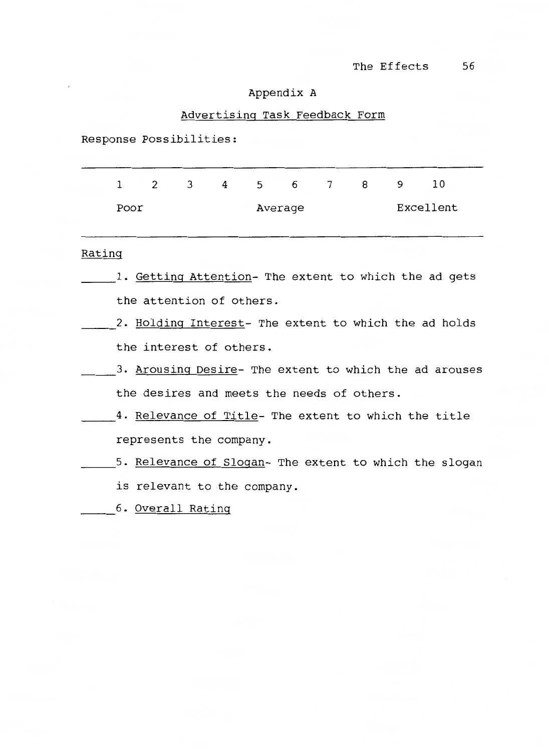# Appendix A

# Advertising Task Feedback Form

Response Possibilities:

|      | $\overline{2}$ | 3 <sup>7</sup> | 4 5 6   |  | 8 | 9 | 10        |
|------|----------------|----------------|---------|--|---|---|-----------|
| Poor |                |                | Average |  |   |   | Excellent |

#### Rating

- 1. Getting Attention- The extent to which the ad gets the attention of others.
- 2. Holding Interest- The extent to which the ad holds the interest of others.
- 3. Arousing Desire- The extent to which the ad arouses the desires and meets the needs of others.
- 4. Relevance of Title- The extent to which the title ~~ represents the company.
	- 5. Relevance of Slogan- The extent to which the slogan
		- is relevant to the company.
	- 6. Overall Rating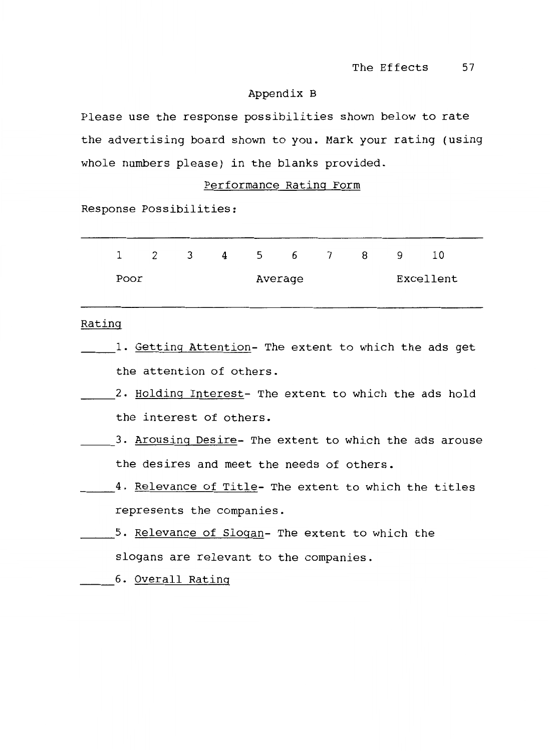# Appendix B

Please use the response possibilities shown below to rate the advertising board shown to you. Mark your rating (using whole numbers please) in the blanks provided.

# Performance Rating Form

Response Possibilities:

| $\mathbf{1}$ | 2    | $\overline{\mathbf{3}}$ | $\overline{4}$ | 5 6     | $7\overline{)}$ | 8 | 9. | 10        |  |
|--------------|------|-------------------------|----------------|---------|-----------------|---|----|-----------|--|
|              | Poor |                         |                | Average |                 |   |    | Excellent |  |

#### Rating

- 1. Getting Attention- The extent to which the ads get the attention of others.
- 2. Holding Interest- The extent to which the ads hold the interest of others.
- 3. Arousing Desire- The extent to which the ads arouse the desires and meet the needs of others.
- 4. Relevance of Title- The extent to which the titles represents the companies.
- 5. <u>Relevance of Slogan</u>- The extent to which the slogans are relevant to the companies.
- 6. Overall Rating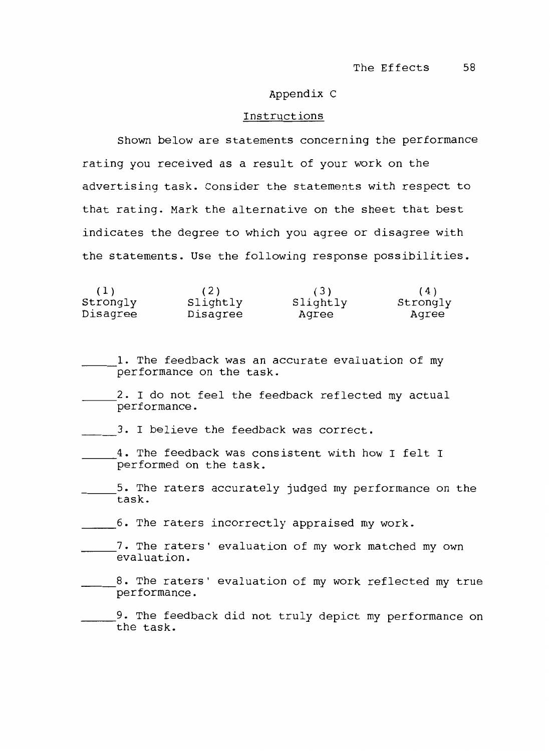#### Appendix C

#### Instructions

Shown below are statements concerning the performance rating you received as a result of your work on the advertising task. Consider the statements with respect to that rating. Mark the alternative on the sheet that best indicates the degree to which you agree or disagree with the statements. Use the following response possibilities.

| (1)      | (2)      | (3)      | (4)      |
|----------|----------|----------|----------|
| Strongly | Slightly | Slightly | Strongly |
| Disagree | Disagree | Aqree    | Aqree    |

1. The feedback was an accurate evaluation of my performance on the task.

- \_\_\_ 2. I do not feel the feedback reflected my actual performance.
- 3. I believe the feedback was correct.
- 4. The feedback was consistent with how I felt I performed on the task.
- \_\_\_ 5. The raters accurately judged my performance on the task.

\_\_\_ 6. The raters incorrectly appraised my work.

- ~~~7· The raters' evaluation of my work matched my own evaluation.
- 8. The raters' evaluation of my work reflected my true performance.

9. The feedback did not truly depict my performance on the task.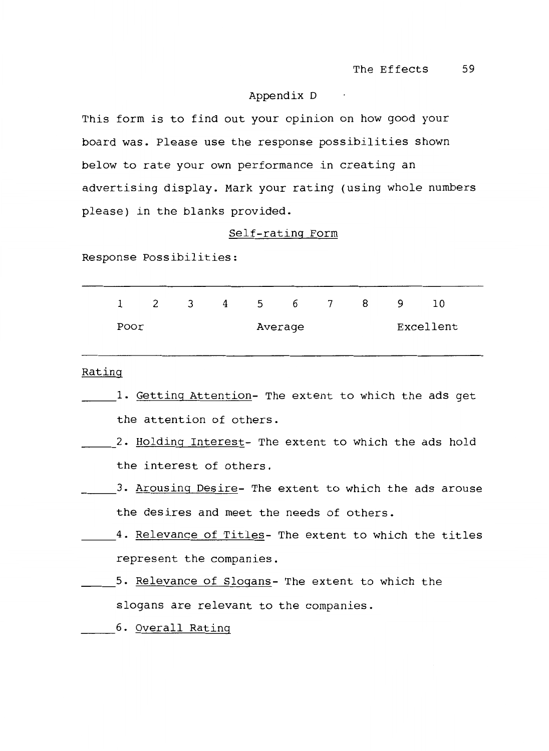# Appendix D

This form is to find out your opinion on how good your board was. Please use the response possibilities shown below to rate your own performance in creating an advertising display. Mark your rating (using whole numbers please) in the blanks provided.

#### Self-rating Form

Response Possibilities:

|      | $1 \quad 2 \quad 3$ |  | 4 5 6 7 8 |         |  | $\overline{9}$ | 10        |
|------|---------------------|--|-----------|---------|--|----------------|-----------|
| Poor |                     |  |           | Average |  |                | Excellent |

# Rating

- 1. Getting Attention- The extent to which the ads get the attention of others.
- 2. Holding Interest- The extent to which the ads hold the interest of others.
- 3. Arousing Desire- The extent to which the ads arouse the desires and meet the needs of others.
- \_\_\_\_\_4. <u>Relevance of Titles</u>- The extent to which the titles represent the companies.
	- 5. Relevance of Slogans- The extent to which the slogans are relevant to the companies.
- 6. Overall Rating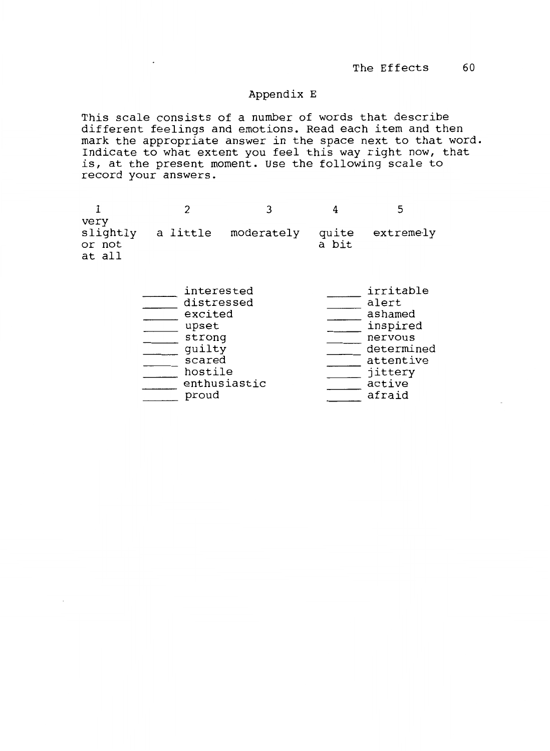# Appendix E

This scale consists of a number of words that describe different feelings and emotions. Read each item and then mark the appropriate answer in the space next to that word. Indicate to what extent you feel this way right now, that is, at the present moment. Use the following scale to record your answers.

| very<br>or not<br>at all | slightly a little moderately quite extremely | a bit |  |
|--------------------------|----------------------------------------------|-------|--|

| interested   | irritable |            |
|--------------|-----------|------------|
| distressed   | alert     |            |
| excited      | ashamed   |            |
| upset        | inspired  |            |
| strong       | nervous   |            |
| quilty       |           | determined |
| scared       | attentive |            |
| hostile      | jittery   |            |
| enthusiastic | active    |            |
| proud        | afraid    |            |
|              |           |            |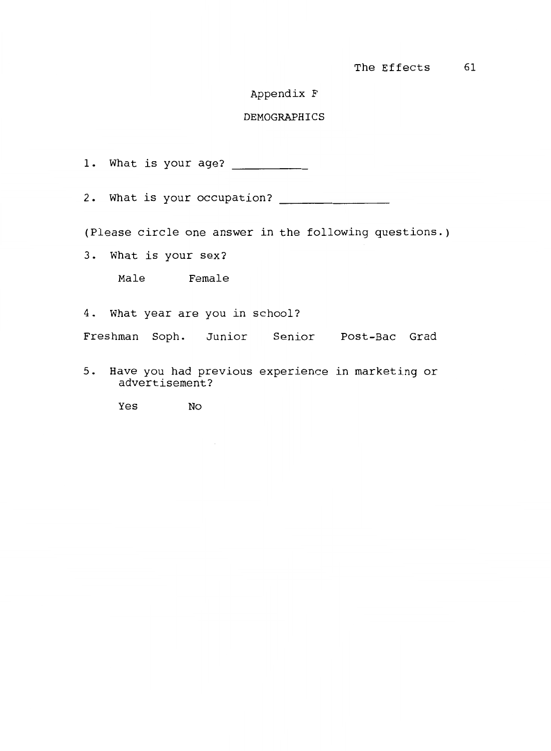# Appendix F

## DEMOGRAPHICS

1. What is your age?

2. What is your occupation?

(Please circle one answer in the following questions.)

3. What is your sex?

Male Female

4. What year are you in school?

Freshman Soph. Junior Senior Post-Bae Grad

5. Have you had previous experience in marketing or advertisement?

Yes No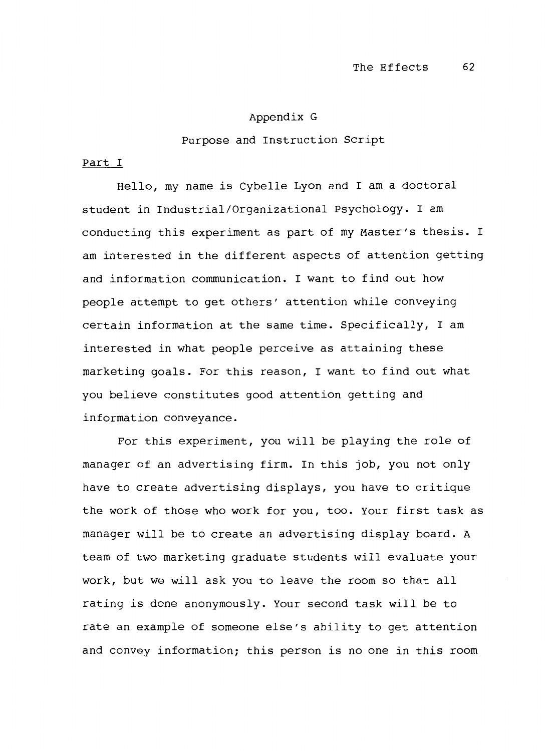#### Appendix G

#### Purpose and Instruction Script

#### Part I

Hello, my name is Cybelle Lyon and I am a doctoral student in Industrial/Organizational Psychology. I am conducting this experiment as part of my Master's thesis. I am interested in the different aspects of attention getting and information communication. I want to find out how people attempt to get others' attention while conveying certain information at the same time. Specifically, I am interested in what people perceive as attaining these marketing goals. For this reason, I want to find out what you believe constitutes good attention getting and information conveyance.

For this experiment, you will be playing the role of manager of an advertising firm. In this job, you not only have to create advertising displays, you have to critique the work of those who work for you, too. Your first task as manager will be to create an advertising display board. A team of two marketing graduate students will evaluate your work, but we will ask you to leave the room so that all rating is done anonymously. Your second task will be to rate an example of someone else's ability to get attention and convey information; this person is no one in this room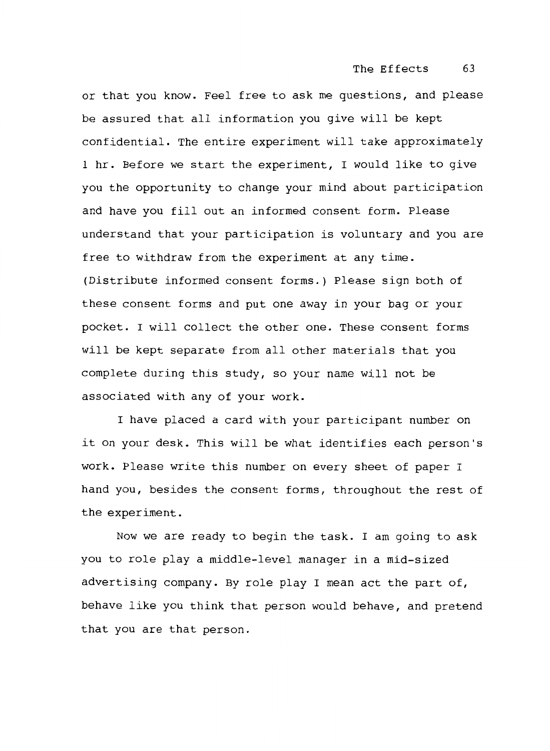or that you know. Feel free to ask me questions, and please be assured that all information you give will be kept confidential. The entire experiment will take approximately 1 hr. Before we start the experiment, I would like to give you the opportunity to change your mind about participation and have you fill out an informed consent form. Please understand that your participation is voluntary and you are free to withdraw from the experiment at any time. (Distribute informed consent forms.) Please sign both of these consent forms and put one away in your bag or your pocket. I will collect the other one. These consent forms will be kept separate from all other materials that you complete during this study, so your name will not be associated with any of your work.

I have placed a card with your participant number on it on your desk. This will be what identifies each person's work. Please write this number on every sheet of paper I hand you, besides the consent forms, throughout the rest of the experiment.

Now we are ready to begin the task. I am going to ask you to role play a middle-level manager in a mid-sized advertising company. By role play I mean act the part of, behave like you think that person would behave, and pretend that you are that person.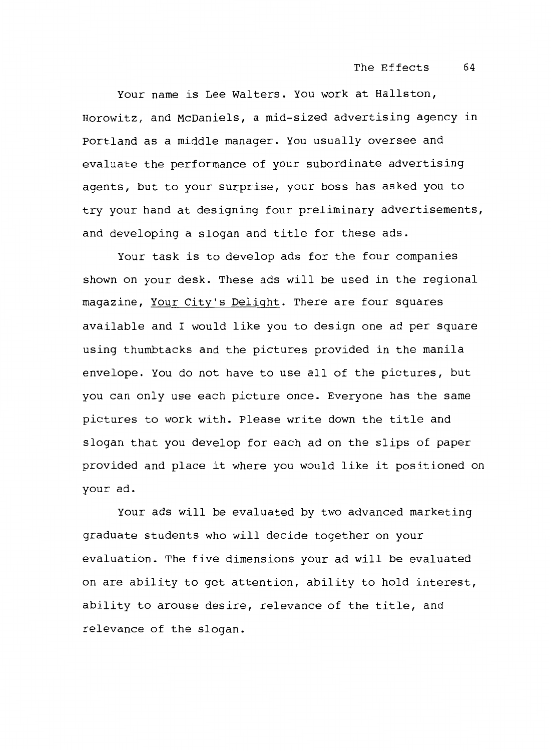Your name is Lee Walters. You work at Hallston, Horowitz, and McDaniels, a mid-sized advertising agency in Portland as a middle manager. You usually oversee and evaluate the performance of your subordinate advertising agents, but to your surprise, your boss has asked you to try your hand at designing four preliminary advertisements, and developing a slogan and title for these ads.

Your task is to develop ads for the four companies shown on your desk. These ads will be used in the regional magazine, Your City's Delight. There are four squares available and I would like you to design one ad per square using thumbtacks and the pictures provided in the manila envelope. You do not have to use all of the pictures, but you can only use each picture once. Everyone has the same pictures to work with. Please write down the title and slogan that you develop for each ad on the slips of paper provided and place it where you would like it positioned on your ad.

Your ads will be evaluated by two advanced marketing graduate students who will decide together on your evaluation. The five dimensions your ad will be evaluated on are ability to get attention, ability to hold interest, ability to arouse desire, relevance of the title, and relevance of the slogan.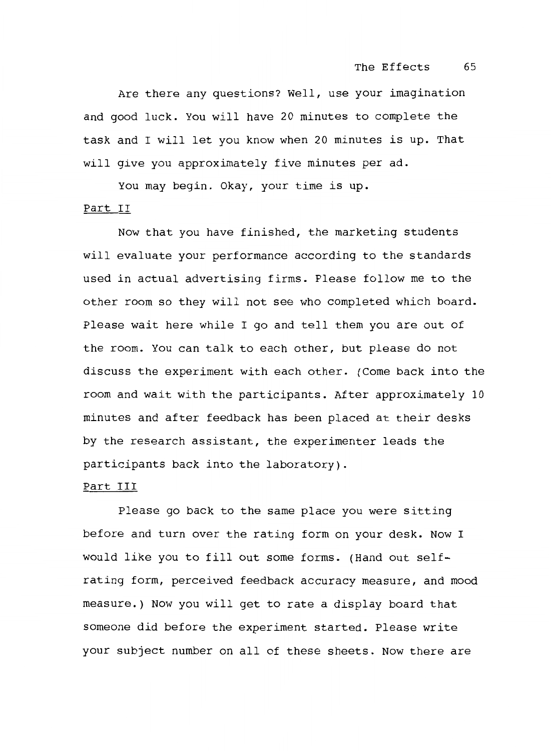Are there any questions? Well, use your imagination and good luck. You will have 20 minutes to complete the task and I will let you know when 20 minutes is up. That will give you approximately five minutes per ad.

You may begin. Okay, your time is up.

## Part II

Now that you have finished, the marketing students will evaluate your performance according to the standards used in actual advertising firms. Please follow me to the other room so they will not see who completed which board. Please wait here while I go and tell them you are out of the room. You can talk to each other, but please do not discuss the experiment with each other. (Come back into the room and wait with the participants. After approximately 10 minutes and after feedback has been placed at their desks by the research assistant, the experimenter leads the participants back into the laboratory).

### Part III

Please go back to the same place you were sitting before and turn over the rating form on your desk. Now I would like you to fill out some forms. (Hand out selfrating form, perceived feedback accuracy measure, and mood measure.) Now you will get to rate a display board that someone did before the experiment started. Please write your subject number on all of these sheets. Now there are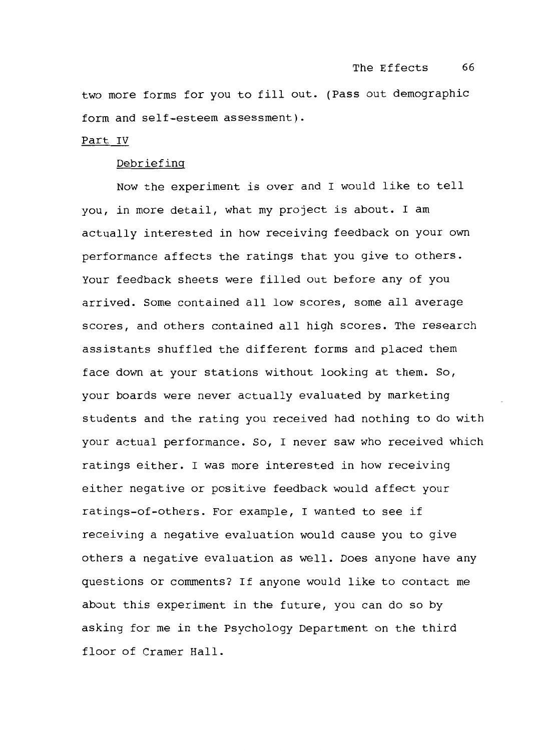two more forms for you to fill out. (Pass out demographic form and self-esteem assessment).

#### Part IV

### Debriefing

Now the experiment is over and I would like to tell you, in more detail, what my project is about. I am actually interested in how receiving feedback on your own performance affects the ratings that you give to others. Your feedback sheets were filled out before any of you arrived. Some contained all low scores, some all average scores, and others contained all high scores. The research assistants shuffled the different forms and placed them face down at your stations without looking at them. So, your boards were never actually evaluated by marketing students and the rating you received had nothing to do with your actual performance. So, I never saw who received which ratings either. I was more interested in how receiving either negative or positive feedback would affect your ratings-of-others. For example, I wanted to see if receiving a negative evaluation would cause you to give others a negative evaluation as well. Does anyone have any questions or comments? If anyone would like to contact me about this experiment in the future, you can do so by asking for me in the Psychology Department on the third floor of Cramer Hall.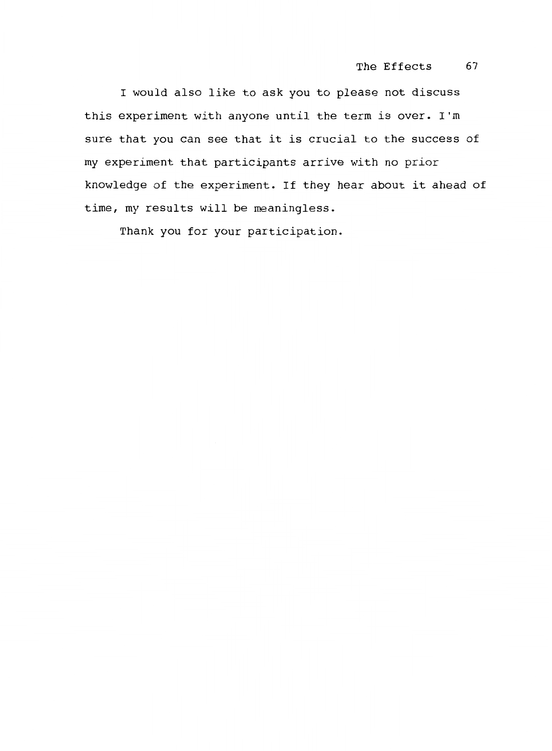I would also like to ask you to please not discuss this experiment with anyone until the term is over. I'm sure that you can see that it is crucial to the success of my experiment that participants arrive with no prior knowledge of the experiment. If they hear about it ahead of time, my results will be meaningless.

Thank you for your participation.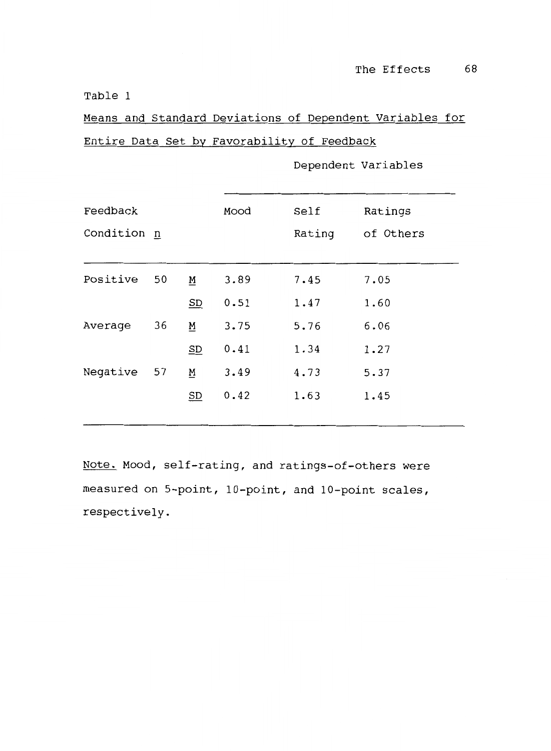Means and Standard Deviations of Dependent variables for Entire Data Set by Favorability of Feedback

| Feedback    |    |          | Mood | Self   | Ratings   |
|-------------|----|----------|------|--------|-----------|
| Condition n |    |          |      | Rating | of Others |
|             |    |          |      |        |           |
| Positive    | 50 | <u>M</u> | 3.89 | 7.45   | 7.05      |
|             |    | SD       | 0.51 | 1.47   | 1.60      |
| Average     | 36 | M        | 3.75 | 5.76   | 6.06      |
|             |    | SD       | 0.41 | 1.34   | 1.27      |
| Negative    | 57 | M        | 3.49 | 4.73   | 5.37      |
|             |    | SD       | 0.42 | 1.63   | 1.45      |
|             |    |          |      |        |           |

Dependent Variables

Note. Mood, self-rating, and ratings-of-others were measured on 5-point, 10-point, and 10-point scales, respectively.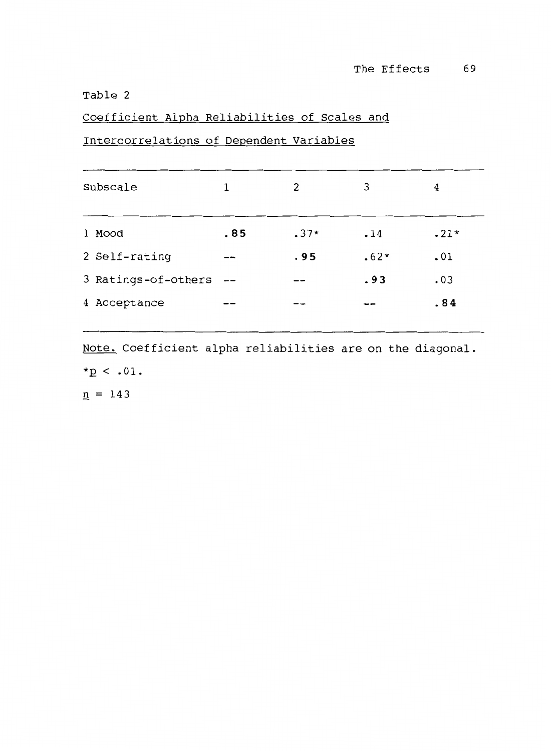Coefficient Alpha Reliabilities of Scales and

# Intercorrelations of Dependent Variables

| Subscale            | 1    | 2      | 3      | 4      |
|---------------------|------|--------|--------|--------|
| 1 Mood              | .85  | $.37*$ | .14    | $.21*$ |
| 2 Self-rating       |      | .95    | $.62*$ | .01    |
| 3 Ratings-of-others | $ -$ |        | .93    | .03    |
| 4 Acceptance        |      |        |        | .84    |
|                     |      |        |        |        |

Note. Coefficient alpha reliabilities are on the diagonal.  $*_{p}$  < .01.  $n = 143$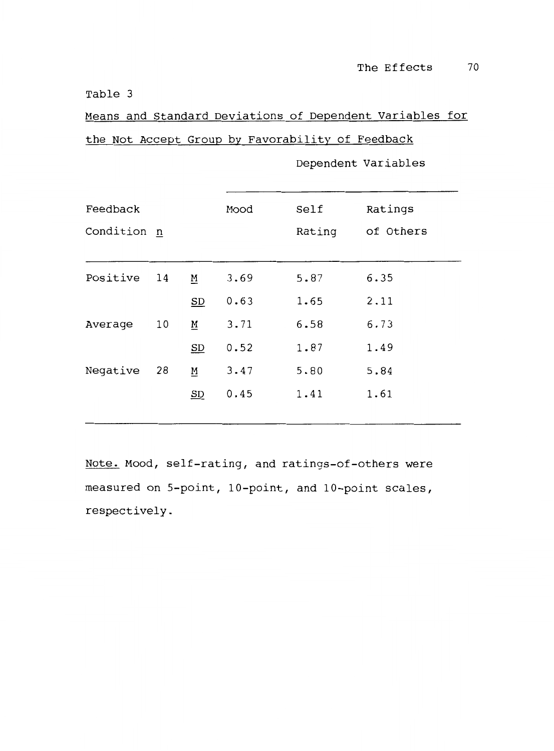Means and Standard Deviations of Dependent variables for the Not Accept Group by Favorability of Feedback

| Feedback<br>Condition n |    |                           | Mood | Self<br>Rating | Ratings<br>of Others |
|-------------------------|----|---------------------------|------|----------------|----------------------|
| Positive                | 14 | <u>M</u>                  | 3.69 | 5.87           | 6.35                 |
|                         |    | SD                        | 0.63 | 1.65           | 2.11                 |
| Average                 | 10 | <u>M</u>                  | 3.71 | 6.58           | 6.73                 |
|                         |    | $\underline{\mathbf{SD}}$ | 0.52 | 1.87           | 1.49                 |
| Negative                | 28 | <u>M</u>                  | 3.47 | 5.80           | 5.84                 |
|                         |    | $\underline{\mathbf{SD}}$ | 0.45 | 1.41           | 1.61                 |
|                         |    |                           |      |                |                      |

Dependent Variables

Note. Mood, self-rating, and ratings-of-others were measured on 5-point, 10-point, and 10-point scales, respectively.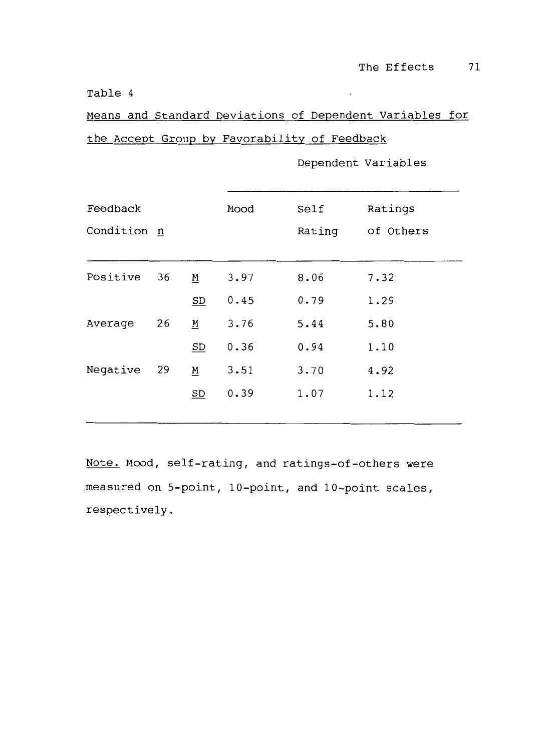Means and Standard Deviations of Dependent variables for the Accept Group by Favorability of Feedback

| Feedback    |    |          | Mood   | Self      | Ratings |
|-------------|----|----------|--------|-----------|---------|
| Condition n |    |          | Rating | of Others |         |
|             |    |          |        |           |         |
| Positive    | 36 | M        | 3.97   | 8.06      | 7.32    |
|             |    | SD       | 0.45   | 0.79      | 1.29    |
| Average     | 26 | <u>M</u> | 3.76   | 5.44      | 5.80    |
|             |    | SD       | 0.36   | 0.94      | 1.10    |
| Negative    | 29 | <u>M</u> | 3.51   | 3.70      | 4.92    |
|             |    | SD       | 0.39   | 1.07      | 1.12    |
|             |    |          |        |           |         |

Dependent Variables

Note. Mood, self-rating, and ratings-of-others were measured on 5-point, 10-point, and 10-point scales, respectively.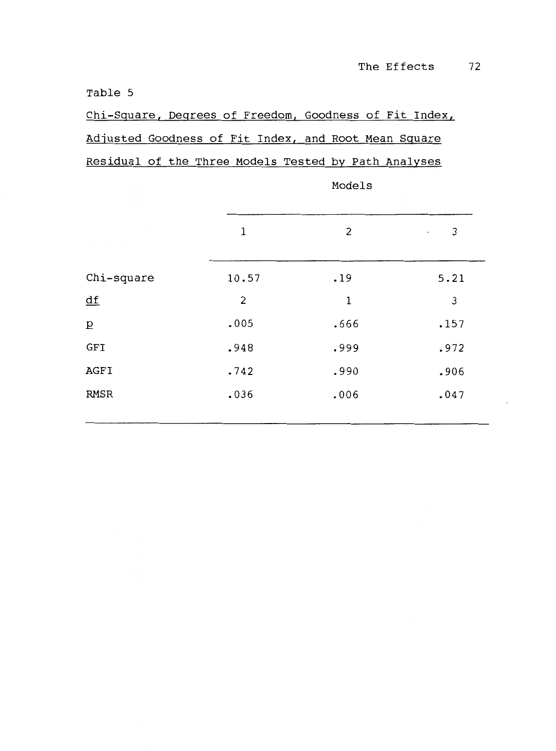Chi-Square, Degrees of Freedom, Goodness of Fit Index, Adjusted Goodness of Fit Index, and Root Mean Square Residual of the Three Models Tested by Path Analyses

|                           | 1     | 2    | 3<br>$\cdot$ |  |  |
|---------------------------|-------|------|--------------|--|--|
| Chi-square                | 10.57 | .19  | 5.21         |  |  |
| $\underline{\mathsf{df}}$ | 2     | 1    | 3            |  |  |
| $\overline{\mathtt{D}}$   | .005  | .666 | .157         |  |  |
| GFI                       | .948  | .999 | .972         |  |  |
| AGFI                      | .742  | .990 | .906         |  |  |
| <b>RMSR</b>               | .036  | .006 | .047         |  |  |
|                           |       |      |              |  |  |

Models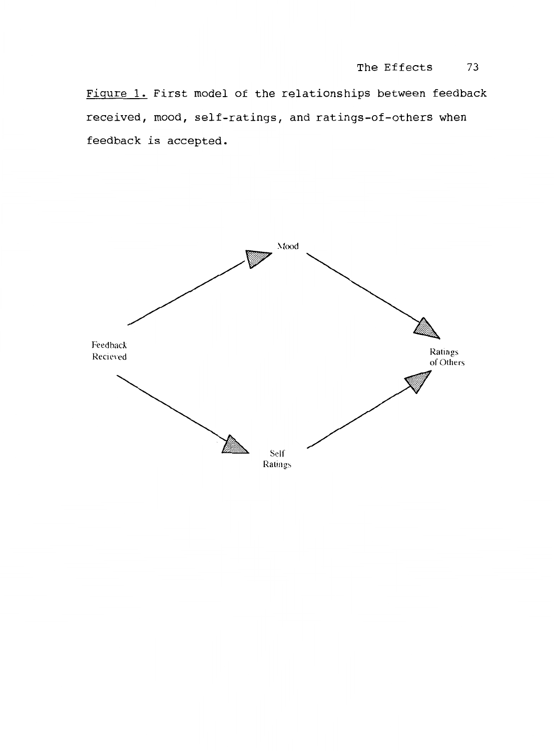Figure 1. First model of the relationships between feedback received, mood, self-ratings, and ratings-of-others when feedback is accepted.

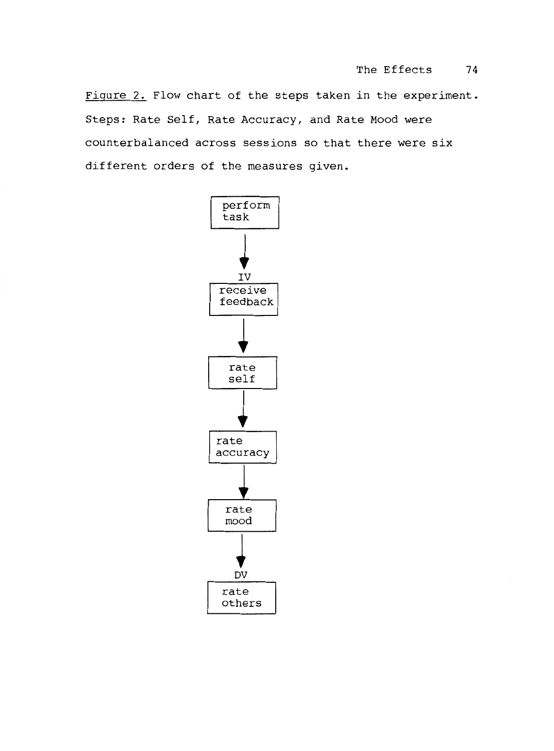Figure 2. Flow chart of the steps taken in the experiment. Steps: Rate Self, Rate Accuracy, and Rate Mood were counterbalanced across sessions so that there were six different orders of the measures given.

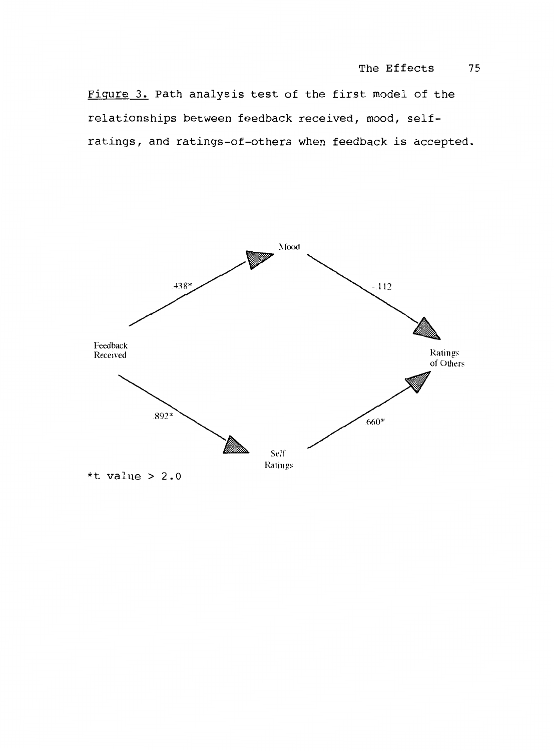Figure 3. Path analysis test of the first model of the relationships between feedback received, mood, selfratings, and ratings-of-others when feedback is accepted .

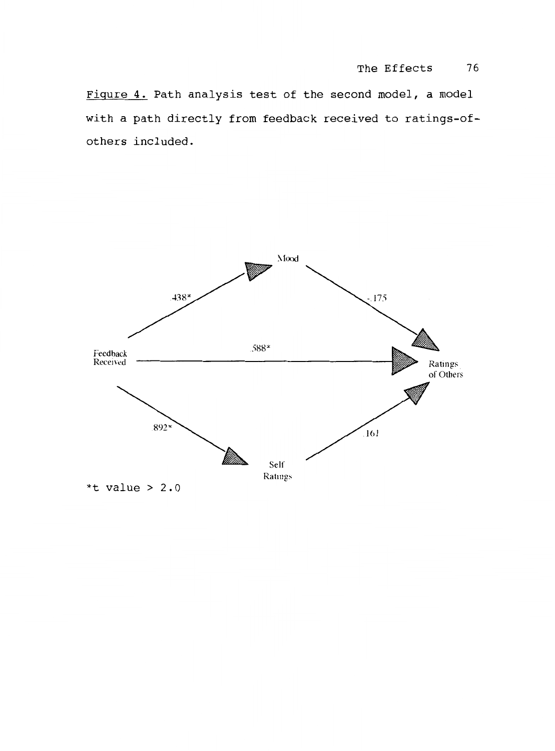Figure 4. Path analysis test of the second model, a model with a path directly from feedback received to ratings-ofothers included.

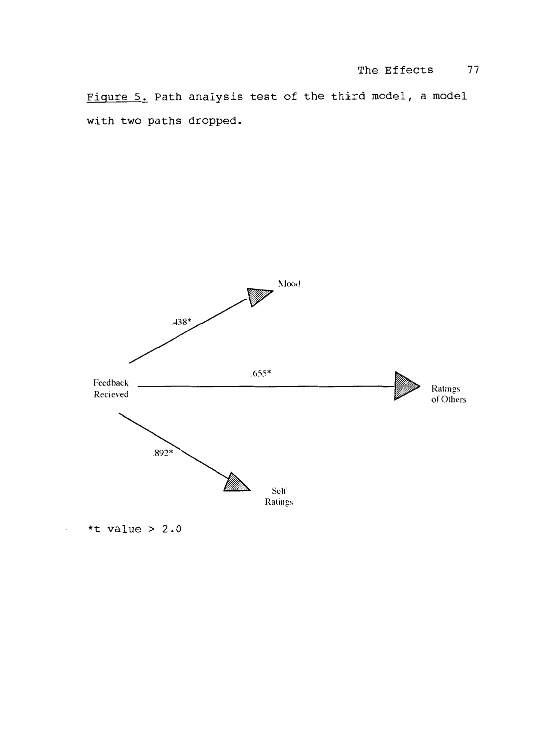Figure 5. Path analysis test of the third model, a model with two paths dropped.



\*t value >  $2.0$